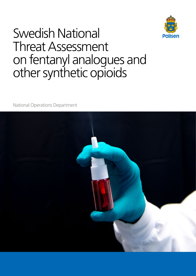

# Swedish National Threat Assessment on fentanyl analogues and other synthetic opioids

National Operations Department

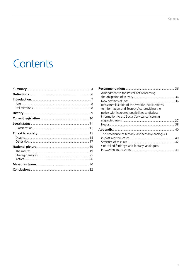# Contents

|                                                   | 36 |
|---------------------------------------------------|----|
| Amendment to the Postal Act concerning            |    |
|                                                   | 36 |
|                                                   | 36 |
| Revision/relaxation of the Swedish Public Access  |    |
| to Information and Secrecy Act, providing the     |    |
| police with increased possibilities to disclose   |    |
| information to the Social Services concerning     |    |
|                                                   |    |
|                                                   |    |
|                                                   |    |
| The prevalence of fentanyl and fentanyl analogues |    |
|                                                   |    |
|                                                   |    |
| Controlled fentanyls and fentanyl analogues       |    |
|                                                   |    |
|                                                   |    |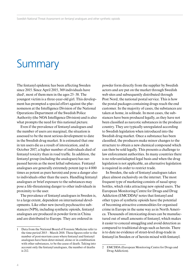# **Summary**

The fentanyl epidemic has been affecting Sweden since 2015. Since April 2015, 369 individuals have died<sup>1</sup>, most of them men in the ages 25–38. The youngest victim is a three-year-old girl. This development has prompted a special effort against the phenomenon at the Intelligence Division of the National Operations Department of the Swedish Police Authority (the NOA Intelligence Division) and is also what prompts the need for this national picture.

Even if the prevalence of fentanyl analogues and the number of users are marginal, the situation is assessed to be the most serious development to date in the Swedish drug market. It is estimated that one in ten users die as a result of intoxication, and in October 2017, a higher number of individuals died of fentanyl toxicity than in road traffic. In addition, the fentanyl group (including the analogues) has surpassed heroin as the most lethal substance. Fentanyl analogues are generally extremely potent (up to 4 000 times as potent as pure heroin) and pose a danger also to individuals other than the users. Handling fentanyl analogues or brief exposure to the substances may pose a life-threatening danger to other individuals in proximity to the user.

The prevalence of fentanyl analogues in Sweden is, to a large extent, dependent on international developments. Like other new (novel) psychoactive substances (NPS), including synthetic opioids, fentanyl analogues are produced in powder form in China and are distributed to Europe. They are ordered in

powder form directly from the supplier by Swedish actors and are put on the market through Swedish web sites and subsequently distributed through Post Nord, the national postal service. This is how the postal packages containing drugs reach the end customer. In the majority of cases, the substances are taken at home, in solitude. In most cases, the substances have been produced legally, as they have not been classified as narcotic substances in the producer country. They are typically unregulated according to Swedish legislation when introduced into the Swedish drug market. Once a substance has been classified, the producers make minor changes to the structure to obtain a new chemical compound which can then be sold legally. This presents a challenge to law enforcement authorities. In many countries there is no relevant/adapted legal basis and when the drug legislation is not applicable, an alternative legislation is required in order to restrict trade.

In Sweden, the sale of fentanyl analogues takes place almost exclusively on the internet. The most frequent type of marketing consists of nasal spray bottles, which risks attracting new opioid users. The European Monitoring Centre for Drugs and Drug Addiction (EMCDDA)<sup>2</sup> notes that fentanyl and other types of synthetic opioids have the potential of becoming attractive commodities for organised crime in Europe in the same way as in North America. Thousands of intoxicating doses can be manufactured out of small amounts of fentanyl, which makes it easier to conceal smuggling and avoid detection as compared to traditional drugs such as heroin. There is to date no evidence of street-level drug-trade in fentanyl in Sweden or of heroin mixed with fentanyl.

<sup>1</sup> Data from the National Board of Forensic Medicine refer to the time period 2015 – March 2018. These figures refer to the number of post-mortem cases where fentanyl and fentanyl analogues have been deter-mined, alone or in combination with other substances, to be the cause of death. Taking into account only the fentanyl analogues, the number of deaths is 212.

<sup>2</sup> EMCDDA (European Monitoring Centre for Drugs and Drug Addiction).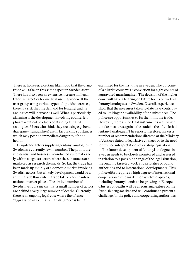There is, however, a certain likelihood that the drugtrade will take on this same aspect in Sweden as well. There has also been an extensive increase in illegal trade in narcotics for medical use in Sweden. If the user group using various types of opioids increases, there is a risk that the demand for fentanyl and its analogues will increase as well. What is particularly alarming is the development involving counterfeit pharmaceutical products containing fentanyl analogues. Users who think they are using e.g. benzodiazepine (tranquilliser) are in fact taking substances which may pose an immediate danger to life and health.

Drug-trade actors supplying fentanyl analogues in Sweden are currently few in number. The profits are substantial and business is conducted systematically within a legal structure where the substances are marketed as research chemicals. So far, the trade has been made up mainly of a domestic market involving Swedish actors, but a likely development would be a shift in trade flows where trade takes place in international market places. The limited number of Swedish vendors means that a small number of actors are behind a very large number of deaths. Currently, there is an ongoing legal case where the offence "aggravated involuntary manslaughter" is being

examined for the first time in Sweden. The outcome of a district court was a conviction for eight counts of aggravated manslaughter. The decision of the higher court will have a bearing on future forms of trade in fentanyl analogues in Sweden. Overall, experience show that the measures taken to date have contributed to limiting the availability of the substances. The police see opportunities to further limit the trade. However, there are no legal instruments with which to take measures against the trade in the often lethal fentanyl analogues. The report, therefore, makes a number of recommendations directed at the Ministry of Justice related to legislative changes or to the need for revised interpretations of existing legislation.

The future development of fentanyl analogues in Sweden needs to be closely monitored and assessed in relation to a possible change of the legal situation, the ongoing targeted work and priorities of public authorities and to international developments. This police effort requires a high degree of international cooperation as the market for synthetic opioids, including fentanyl, tends to be growing in Europe. Clusters of deaths will be a recurring feature on the Swedish drug-market and will continue to present a challenge for the police and cooperating authorities.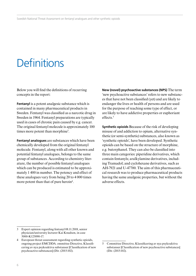# **Definitions**

Below you will find the definitions of recurring concepts in the report:

**Fentanyl** is a potent analgesic substance which is contained in many pharmaceutical products in Sweden. Fentanyl was classified as a narcotic drug in Sweden in 1964. Fentanyl preparations are typically used in cases of chronic pain caused by e.g. cancer. The original fentanyl molecule is approximately 100 times more potent than morphine<sup>3</sup>.

**Fentanyl analogues** are substances which have been chemically developed from the original fentanyl molecule. Fentanyl, along with all other known and potential fentanyl analogues, belongs to the same group of substances. According to chemistry literature, the number of possible fentanyl analogues which can be produced is estimated to be approximately 1 400 in number. The potency and effect of these analogues vary from being 20 to 4 000 times more potent than that of pure heroin<sup>4</sup>.

**New (novel) psychoactive substances (NPS)** The term 'new psychoactive substances' refers to new substances that have not been classified (yet) and are likely to endanger the lives or health of persons and are used for the purpose of reaching some type of effect, or are likely to have addictive properties or euphoriant effects<sup>5</sup>

**Synthetic opioids** Because of the risk of developing misuse of and addiction to opium, alternative synthetic (or semi-synthetic) substances, also known as 'synthetic opioids', have been developed. Synthetic opioids can be based on the structure of morphine, e.g. butorphanol. They can also be classified into three main categories: piperidine derivatives, which contain fentanyls; aralkylamine derivatives, including Tramadol; and cyclohexane derivatives, such as AH-7921 and U-47700. The aim of this pharmaceutical research was to produce pharmaceutical products having the same analgesic properties, but without the adverse effects.

<sup>3</sup> Expert opinion regarding fentanyl 08.11.2018, senior physician/university lecturer Kai Knudsen, in case 5000-K125090-17.

<sup>4</sup> European threat assessment regarding synthetic opioids, ongoing project EMCDDA. ommittee Directive, Klassificering av nya psykoaktiva substanser [Classification of new psychoactive substances] (Dir. (2015:102).

<sup>5</sup> Committee Directive, Klassificering av nya psykoaktiva substanser [Classification of new psychoactive substances] (Dir. (2015:102).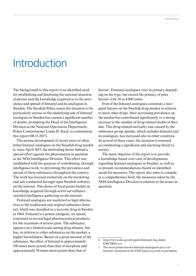# Introduction

The background to this report is an identified need for establishing and disclosing the national situational picture and the knowledge acquired as to the prevalence and spread of fentanyl and its analogues in Sweden. The Swedish Police assess the situation to be particularly serious as the underlying sale of fentanyl analogues in Sweden has caused a significant number of deaths, prompting the Head of the Intelligence Division at the National Operations Department, Police Commissioner Linda H. Staaf, to commission this report (06.11.2017).

The serious development of recent years of often lethal fentanyl analogues on the Swedish drug market is, since April 2015, the motivating factor behind a special effort against the phenomenon in question at the NOA Intelligence Division. This effort was established with the purpose of contributing, through intelligence work, to preventing the prevalence and spread of these substances throughout the country. The work has focused exclusively on the marketing and sale conducted through open Swedish websites on the internet. The choice of focal points builds on knowledge acquired through active surveillanceoriented intelligence gathering on the internet.

Fentanyl analogues are marketed as legal alternatives to the traditional and original substance fentanyl, which was classified as a narcotic drug in Sweden in 1964. Fentanyl is a potent analgesic, an opioid, contained in several legal pharmaceutical products for the treatment of serious pain. The substance appears on a limited scale among drug abusers, but has, in relation to other substances on the market, a higher harmfulness. Based on a given amount of the substance, the effect of fentanyl is approximately 100 times more potent than that of morphine and approximately 50 times more potent than that of

heroin<sup>6</sup>. Fentanyl analogues vary in potency depending on the type, but exceed the potency of pure heroin<sup>7</sup> with 20 to 4 000 times.

Even if the fentanyl analogues constitute a marginal feature on the Swedish drug market in relation to most other drugs, their increasing prevalence on the market has contributed significantly to a strong increase in the number of drug-related deaths in Sweden. This drug-related mortality rate caused by the substance group opioids, which includes fentanyl and its analogues, has increased also in other countries. In several of these cases, the situation is assessed as constituting a significant and alarming threat to society.

The main objective of the report is to provide a knowledge-based over-view of developments regarding fentanyl analogues in Sweden, as well as to present recommendations based on identified needs for measures. The report also aims to compile, at a comprehensive level, the measures taken by the NOA Intelligence Division in relation to the issues in question.

<sup>6</sup> https://www.dea.gov/druginfo/fentanyl-faq.shtml. EMCDDA too.

<sup>7</sup> The most potent known fentanyl analogue/type is carfentanil, estimated to be 4 000 times as potent as morphine.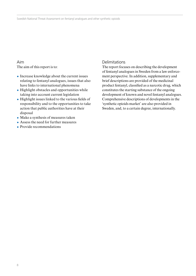### Aim

The aim of this report is to:

- Increase knowledge about the current issues relating to fentanyl analogues, issues that also have links to international phenomena
- $\bullet$  Highlight obstacles and opportunities while taking into account current legislation
- ¿ Highlight issues linked to the various fields of responsibility and to the opportunities to take action that public authorities have at their disposal
- ¿ Make a synthesis of measures taken
- ¿ Assess the need for further measures
- ¿ Provide recommendations

### Delimitations

The report focuses on describing the development of fentanyl analogues in Sweden from a law enforcement perspective. In addition, supplementary and brief descriptions are provided of the medicinal product fentanyl, classified as a narcotic drug, which constitutes the starting substance of the ongoing development of known and novel fentanyl analogues. Comprehensive descriptions of developments in the 'synthetic opioids market' are also provided in Sweden, and, to a certain degree, internationally.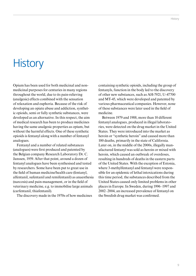# **History**

Opium has been used for both medicinal and nonmedicinal purposes for centuries in many regions throughout the world, due to its pain-relieving (analgesic) effects combined with the sensation of relaxation and euphoria. Because of the risk of developing an opiate abuse and addiction, synthetic opioids, semi or fully synthetic substances, were developed as an alternative. In this respect, the aim of medical research has been to produce medicines having the same analgesic properties as opium, but without the harmful effects. One of these synthetic opioids is fentanyl along with a number of fentanyl analogues.

Fentanyl and a number of related substances (analogues) were first produced and patented by the Belgian company Research Laboratory Dr. C. Janssen, 1959. After that point, around a dozen of fentanyl analogues have been synthesised and tested by researchers. Some have been put to great use in the field of human medicine/health care (fentanyl, alfentanil, sufentanil and remifentanil) as anaesthesia (narcosis) and pain-management, or in the field of veterinary medicine, e.g. to immobilise large animals (carfentanil, thiafentanil).

The discovery made in the 1970s of how medicines

containing synthetic opioids, including the group of fentanyls, function in the body led to the discovery of other new substances, such as AH-7921, U-47700 and MT-45, which were developed and patented by various pharmaceutical companies. However, none of these substances were later used in the field of medicine.

Between 1979 and 1988, more than 10 different fentanyl analogues, produced in illegal laboratories, were detected on the drug market in the United States. They were introduced into the market as heroin or "synthetic heroin" and caused more than 100 deaths, primarily in the state of California. Later on, in the middle of the 2000s, illegally manufactured fentanyl was sold as heroin or mixed with heroin, which caused an outbreak of overdoses, resulting in hundreds of deaths in the eastern parts of the United States. With the exception of Estonia, where 3-methylfentanyl and fentanyl were responsible for an epidemic of lethal intoxications during this time period, the substances described from the United States caused only limited problems in other places in Europe. In Sweden, during 1996–1997 and 2002–2004, an increased prevalence of fentanyl on the Swedish drug market was confirmed.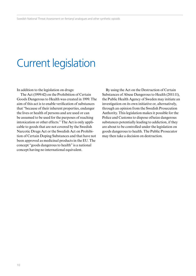# Current legislation

In addition to the legislation on drugs:

The Act (1999:42) on the Prohibition of Certain Goods Dangerous to Health was created in 1999. The aim of this act is to enable verification of substances that "because of their inherent properties, endanger the lives or health of persons and are used or can be assumed to be used for the purposes of reaching intoxication or other effects." The Act is only applicable to goods that are not covered by the Swedish Narcotic Drugs Act or the Swedish Act on Prohibition of Certain Doping Substances and that have not been approved as medicinal products in the EU. The concept "goods dangerous to health" is a national concept having no international equivalent.

By using the Act on the Destruction of Certain Substances of Abuse Dangerous to Health (2011:11), the Public Health Agency of Sweden may initiate an investigation on its own initiative or, alternatively, through an opinion from the Swedish Prosecution Authority. This legislation makes it possible for the Police and Customs to dispose of/seize dangerous substances potentially leading to addiction, if they are about to be controlled under the legislation on goods dangerous to health. The Public Prosecutor may then take a decision on destruction.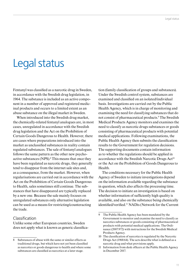# Legal status

Fentanyl was classified as a narcotic drug in Sweden, in accordance with the Swedish drug legislation, in 1964. The substance is included as an active component in a number of approved and registered medicinal products and occurs to a limited extent as an abuse substance on the illegal market in Sweden.

When introduced into the Swedish drug market, the chemically-related fentanyl analogues are, in most cases, unregulated in accordance with the Swedish drug legislation and the Act on the Prohibition of Certain Goods Dangerous to Health. However, there are cases where preparations introduced into the market as unclassified substances in reality contain regulated substances. The sale of fentanyl analogues follows the same pattern as the other new psychoactive substances (NPS).<sup>8</sup> This means that once they have been regulated as narcotic drugs, they generally tend to disappear from the internet sale sites and, as a consequence, from the market. However, when regularisations are carried out in accordance with the Act on the Prohibition of Certain Goods Dangerous to Health, sales sometimes still continue. The substances that have disappeared are typically replaced by a new one. Because the sale mainly focuses on unregulated substances only alternative legislation can be used as a means for restricting/counteracting the trade.

### Classification

Unlike some other European countries, Sweden does not apply what is known as generic classifica-

tion (family classification of groups and substances). Under the Swedish control system, substances are examined and classified on an isolated/individual basis. Investigations are carried out by the Public Health Agency, which is in charge of monitoring and examining the need for classifying substances that do not consist of pharmaceutical products.<sup>9</sup> The Swedish Medical Products Agency monitors and examines the need to classify as narcotic drugs substances or goods consisting of pharmaceutical products with potential medical applications. Following examinations, the Public Health Agency then submits the classification results to the Government for regulation decisions. The supporting documents contain information as to whether the regulations should be applied in accordance with the Swedish Narcotic Drugs Act<sup>10</sup> or the Act on the Prohibition of Goods Dangerous to Health.

The conditions necessary for the Public Health Agency of Sweden to initiate investigations depend on the information available regarding the substance in question, which also affects the processing time. The decision to initiate an investigation is based on whether information of sufficiently high quality is available, and also on the substance being chemically identified/verified.11 NADis (Network for the Current

<sup>8</sup> Substances of abuse with the same or similar effects as traditional drugs, but which have not yet been classified as narcotics or goods dangerous to health and where some substances are classified as narcotics at a later stage.

<sup>9</sup> The Public Health Agency has been mandated by the Government to monitor and examine the need to classify as narcotics substances or goods consisting of pharmaceutical products with potential medical applications. The Ordinance (2007:972) with instructions for the Swedish Medical Products Agency.

<sup>10</sup> The classification of narcotics is regulated by the Narcotic Drugs Act (1968:64). The acts describe what is defined as a narcotic drug and what provisions apply.

<sup>11</sup> Information from desk officers at the Public Health Agency in December 2017.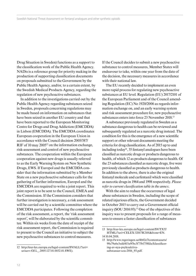Drug Situation in Sweden) functions as a support to the classification work of the Public Health Agency. NADis is a reference group for priority making in the production of supporting classification documents on proposals submitted to the Government by the Public Health Agency, and/or, to a certain extent, by the Swedish Medical Products Agency, regarding the regulation of new psychoactive substances.

In addition to the investigations carried out by the Public Health Agency regarding substances seized in Sweden, proposals concerning regulations may be made based on information on substances that have been seized in another EU country and that have been reported to the European Monitoring Centre for Drugs and Drug Addiction (EMCDDA) in Lisbon (EMCDDA). The EMCDDA coordinates European cooperation in the European Union in accordance with the Council decision 2005/387/ RIF of 10 may 2005<sup>12</sup> on the information exchange, risk-assessment and control of new psychoactive substances. The cooperation within the European cooperation against new drugs is usually referred to as the Early Warning System on New Synthetic Drugs, EWS. If Europol and the EMCDDA consider that the information submitted by a Member State on a new psychoactive substance calls for the gathering of further information, Europol and the EMCDDA are required to write a joint report. This joint report is to be sent to the Council, EMEA and the Commission. If the Commission considers that further investigation is necessary, a risk assessment will be carried out by a scientific committee where the EMCDDA participates. Following the completion of the risk assessment, a report, the 'risk assessment report', will be elaborated by the scientific committee. Within six weeks from the date of receipt of the risk assessment report, the Commission is required to present to the Council an initiative to subject the new psychoactive substances to control measures.

If the Council decides to submit a new psychoactive substance to control measures, Member States will endeavour to take, within one year from the date of the decision, the necessary measures in accordance with their national law.

The EU recently decided to implement an even more rapid process for regulating new psychoactive substances at EU level. Regulation (EU) 2017/2101 of the European Parliament and of the Council amending Regulation (EC) No 1920/2006 as regards information exchange on, and an early warning system and risk assessment procedure for, new psychoactive substances enters into force 23 November 2018.13

A substance previously regulated in Sweden as a substance dangerous to health can be reviewed and subsequently regulated as a narcotic drug instead. The condition for this is the emergence of a new scientific support or other relevant documents meeting the criteria for drug classification. As of 2015 up to and including today<sup>14</sup>, 35 fentanyl analogues have been classified as narcotic drugs or products dangerous to health, of which 12 as products dangerous to health. Of the 23 substances classified as narcotic drugs, five were previously classified as products dangerous to health. In addition to the above, there is also the original fentanyl molecule and carfentanil which were classified as narcotic drugs in 1964 and 1998 respectively. *Please refer to current classification table in the annex.* 

With the aim to reduce the occurrence of legal abuse substances in Sweden, including the scope of related injurious effects, the Government decided in October 2015 to carry out a Government official inquiry (SOU 2016:93).<sup>15</sup> One of the objectives of this inquiry was to present proposals for a range of measures to ensure a faster classification of substances

<sup>12</sup> http://eur-lex.europa.eu/legal-content/SV/ALL/?uri= uriserv:OJ.L\_.2005.127.01.0032.01.SWE).

<sup>13</sup> http://eur-lex.europa.eu/legal-content/SV/TXT/ HTML/?uri=CELEX:32017R2101&from=EN.

<sup>14</sup> 10.04.2018.

<sup>15</sup> http://www.regeringen.se/4b02e7/contentassets/ 90c79a6e3edd415a9fbc3f73b1758fda/klassificering-av-nya-psykoaktivasubstanser-sou-2016\_93.pdf.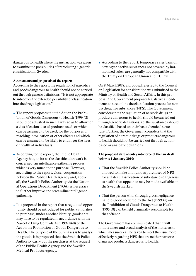dangerous to health where the instruction was given to examine the possibilities of introducing a generic classification in Sweden.

#### **Assessments and proposals of the report:**

According to the report, the regulation of narcotics and goods dangerous to health should not be carried out through generic definitions. "It is not appropriate to introduce the extended possibility of classification into the drugs legislation."

- The report proposes that the Act on the Prohibition of Goods Dangerous to Health (1999:42) should be adjusted in such a way so as to allow for a classification also of products used, or which can be assumed to be used, for the purposes of reaching intoxication or other effects and which can be assumed to be likely to endanger the lives or health of individuals.
- ¿ According to the report, the Public Health Agency has, as far as the classification work is concerned, an intelligence gathering process which is very much to the purpose. However, according to the report, closer cooperation between the Public Health Agency and, above all, the Swedish Police Authority via the National Operations Department (NOA), is necessary to further improve and streamline intelligence gathering.
- $\bullet$  It is proposed in the report that a regulated opportunity should be introduced for public authorities to purchase, under another identity, goods that may have to be regulated in accordance with the Narcotic Drug Controls Act (1992:860) or the Act on the Prohibition of Goods Dangerous to Health. The purpose of the purchases is to analyse the goods. It is proposed that the Swedish Police Authority carry out the purchases at the request of the Public Health Agency and the Swedish Medical Products Agency.

¿ According to the report, temporary sales bans on new psychoactive substances not covered by harmonised rules, are generally not compatible with the Treaty on European Union and EU law.

On 8 March 2018, a proposal referred to the Council on Legislation for consideration was submitted to the Ministry of Health and Social Affairs. In this proposal, the Government proposes legislative amendments to streamline the classification process for new psychoactive substances (NPS). The Government considers that the regulation of narcotic drugs or products dangerous to health should be carried out through generic definitions, i.e. the substances should be classified based on their basic chemical structure. Further, the Government considers that the regulation of narcotic drugs or products dangerous to health should not be carried out through actionbased or analogue definitions.

#### **The proposed date of entry into force of the law draft below is 1 January 2019:**

- That the Swedish Police Authority should be allowed to make anonymous purchases of NPS for a faster classification of sub-stances dangerous to health that appear or may be made available on the Swedish market.
- $\bullet$  That the person who, through gross negligence, handles goods covered by the Act (1999:42) on the Prohibition of Goods Dangerous to Health (1995:58) can be held criminally responsible for that offence.

The Government has communicated that it will initiate a new and broad analysis of the matter as to which measures can be taken to meet the issue more effectively regarding NPS that are neither narcotic drugs nor products dangerous to health.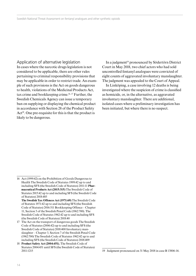Application of alternative legislation In cases where the narcotic drugs legislation is not considered to be applicable, there are other rules pertaining to criminal responsibility provisions that may be applicable in order to restrict trade. An example of such provisions is the Act on goods dangerous to health, violations of the Medicinal Products Act, tax crime and bookkeeping crime.<sup>16, 17</sup> Further, the Swedish Chemicals Agency can issue a temporary ban on supplying or displaying the chemical product in accordance with Section 28 of the Product Safety Act<sup>18</sup>. One pre-requisite for this is that the product is likely to be dangerous.

In a judgment<sup>19</sup> pronounced by Södertörn District Court in May 2018, two chief actors who had sold uncontrolled fentanyl analogues were convicted of eight counts of aggravated involuntary manslaughter. The judgment was appealed to the Court of Appeal.

In Linköping, a case involving 12 deaths is being investigated where the suspicion of crime is classified as homicide, or, in the alternative, as aggravated involuntary manslaughter. There are additional, isolated cases where a preliminary investigation has been initiated, but where there is no suspect.

<sup>16</sup> Act (1999:42) on the Prohibition of Goods Dangerous to Health The Swedish Code of Statutes 1999:42 up to and including SFS (the Swedish Code of Statutes) 2011:11 **Pharmaceutical Products Act (2015:315)** The Swedish Code of Statutes 2015:42 up to and including SFS (the Swedish Code of Statutes) 2018:485

**The Swedish Tax Offences Act (1971:69)** The Swedish Code of Statutes 1971:42 up to and including SFS (the Swedish Code of Statutes) 2016:511 Bookkeeping Offence – Chapter 11, Section 5 of the Swedish Penal Code (1962:700). The Swedish Code of Statutes 1962:42 up to and including SFS (the Swedish Code of Statutes) 2018:40

<sup>17</sup> The Act on the transport of dangerous goods The Swedish Code of Statutes (2006:42) up to and including SFS (the Swedish Code of Statutes) 2018:400 Involuntary manslaughter – Chapter 3, Section 7 of the Swedish Penal Code (1962:700) The Swedish Code of Statutes 1962:42 up to and including SFS (the Swedish Code of Statutes) 2018:409

<sup>18</sup> **Product Safety Act (2004:451).** The Swedish Code of Statutes 2004:451 until SFS (the Swedish Code of Statutes) 2011:1215

<sup>19</sup> Judgment pronounced on 31 May 2018 in case B 13806-16.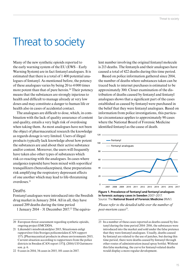### Threat to society

Many of the new synthetic opioids reported to the early warning system of the EU (EWS – Early Warning System) are in fact fentanyl analogues. It is estimated that there is a total of 1 400 potential analogues of fentanyl. As mentioned before, the potency of these analogues varies by being 20 to 4 000 times more potent than that of pure heroin.<sup>20</sup> Their potency means that the substances are strongly injurious to health and difficult to manage already at very low doses and may constitute a danger to human life or health also in cases of accidental contact.

The analogues are difficult to dose, which, in combination with the lack of quality assurance of content and quality, entails a very high risk of overdosing when taking them. As most analogues have not been the object of pharmaceutical research the knowledge as regards dosage is very limited. Users of illegal products typically lack knowledge about how potent the substances are and about their active substance and/or content. Moreover, the users will frequently have taken also other types of substances which risk co-reacting with the analogues. In cases where analgesics (opioids) have been mixed with soporifics/ tranquillizers (benzodiazepines), these preparations risk amplifying the respiratory depressant effects of one another which may lead to life-threatening overdoses.21

#### Deaths

Fentanyl analogues were introduced into the Swedish drug market in January 2014. All in all, they have caused 209 deaths during the time period

1 January 2014 – 31 December 2017.22 The equiva-

lent number involving the original fentanyl molecule is 213 deaths. The fentanyls and their analogues have caused a total of 422 deaths during this time period.

Based on police information gathered since 2014, the number of deaths where substances taken can be traced back to internet purchases is estimated to be approximately 300. Closer examination of the distribution of deaths caused by fentanyl and fentanyl analogues shows that a significant part of the cases established as caused by fentanyl were purchased in the belief that they were fentanyl analogues. Based on information from police investigations, this particular circumstance applies to approximately 90 cases where the National Board of Forensic Medicine identified fentanyl as the cause of death.



**Figure 1. Prevalence of fentanyl and fentanyl analogues in forensic autopsy cases in Sweden** 2007–2017. Source: The **National Board of Forensic Medicine** (RMV)

*Please refer to the detailed table over the number of post-mortem cases23.*

<sup>20</sup> European threat assessment regarding synthetic opioids, ongoing project EMCDDA.

<sup>21</sup> Läkemdel i missbruksmiljöer 2015, Situationen enligt rapportörer från Sveriges polisområden (CAN rapport 157). [Pharmaceutical products in abuse environments 2015, Current situation according to rapporteurs from the police districts in Sweden (CAN report 157)]. (2016) Ulf Guttmorsson. p. 6.

<sup>22 0</sup> cases in 2014, 34 cases in 2015, 101 cases in 2017.

<sup>23</sup> In a number of these cases reported as deaths caused by fentanyl during the time period 2014–2016, the substances were introduced into the market and sold under the false pretence that they were fentanyl analogues. Usually, deaths caused by fentanyl are related to the use of patches, but during this time period, there were deaths caused by fentanyl through other routes of administration (nasal spray bottle). Without this false marketing, the curve for fentanyl-related deaths would display a more regular development.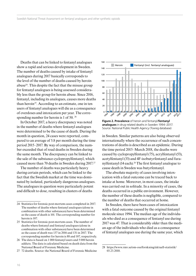Deaths that can be linked to fentanyl analogues show a rapid and serious development in Sweden. The number of deaths caused by intake of fentanyl analogues during 2017 basically corresponds to the level of the number of deaths caused by heroin abuse24. This despite the fact that the misuse group for fentanyl analogues is being assessed considerably less than the group for heroin abuse. Since 2016, fentanyl, including its analogues, causes more deaths than heroin<sup>25</sup>. According to an estimate, one in ten users of fentanyl analogues will die as a consequence of overdoses and intoxication per year. The corresponding number for heroin is 1 of 50. 26

In October 2017, a heavy discrepancy was noted in the number of deaths where fentanyl analogues were determined to be the cause of death. During the month in question, 24 cases were reported, compared to an average of 5.8 per month during the time period 2015–2017. By way of comparison, the number exceeded that of road deaths in Sweden during the same month. The discrepancy can be linked to the sale of the substance cyclopropylfentanyl, which caused more than 70 deaths in Sweden during 2017.27

The number of deaths was particularly heavy during certain periods, which can be linked to the fact that the Swedish market at the time was dominated by isolated, particularly dangerous analogues. The analogues in question were particularly potent and difficult to dose, resulting in clusters of deaths

26 The data is based on 1 000 fentanyl users and 5 000 heroin addicts. The data is calculated based on death data from the National Board of Forensic Medicine.





**Figure 2. Prevalence** of heroin and fentanyl/**fentanyl analogues** in drug-related deaths in Sweden 1994–2017. Source: National Public Health Agency (Toxreg database)

in Sweden. Similar patterns are also being observed internationally where the occurrence of such concentrations of deaths is described as an epidemic. During the time period 2015–March 2018, the deaths were caused by cyclopropylfentanyl (75), acrylfentanyl (53), acetylfentanyl (33) and 4F-isobutyrfentanyl and furanylfentanyl (14 each).28 The first fentanyl analogue to cause death in Sweden was butyrfentanyl.

The absolute majority of cases involving intoxication with a fatal outcome can be traced back to intake at home. Moreover, in most cases, the intake was carried out in solitude. In a minority of cases, the deaths occurred in a public environment. However, the number of these deaths is negligible, compared to the number of deaths that occurred at home.

In Sweden, there have been cases of intoxication with a fatal outcome caused by the original fentanyl molecule since 1994. The median age of the individuals who died as a consequence of fentanyl use during 2017 was 47. That is considerably older than the median age of the individuals who died as a consequence of fentanyl analogues use during the same year, which

<sup>24</sup> Statistics for forensic post-mortem cases completed in 2017. The number of deaths where fentanyl analogues (alone in combination with other substances) have been determined as the cause of death is 101. The corresponding number for heroin is 107.

<sup>25</sup> Statistics for forensic post-mortem cases. The number of deaths where fentanyl and fentanyl analogues (alone in combination with other substances) have been determined as the cause of death was 137 in 2016 and 131 in 2017. The corresponding number for heroin is 88 and 107, respectively.

<sup>28</sup> https://www.rmv.se/om-oss/forskning/aktuell-statistik/ 03.23.2018.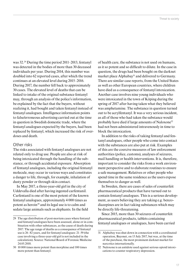was 32.29 During the time period 2011–2013, fentanyl was detected in the bodies of more than 30 deceased individuals per year. During 2014, this number was doubled into 62 reported cases, after which the trend continues at an elevated level during 2015–2016. During 2017, the number fell back to approximately 30 cases. The elevated level of deaths that can be linked to intake of the original substance fentanyl may, through an analysis of the police's information, be explained by the fact that the buyers, without realizing it, had bought and taken fentanyl instead of fentanyl analogues. Intelligence information points to false/erroneous advertising carried out at the time in question in Swedish domestic trade, where the fentanyl analogues expected by the buyers, had been replaced by fentanyl, which increased the risk of overdoses and death.

### Other risks

The risks associated with fentanyl analogues are not related only to drug use. People are also at risk of being intoxicated through the handling of the substance, or through accidental exposure. Absorption of fentanyl analogues, including the original fentanyl molecule, may occur in various ways and constitutes a danger to life, through, for example, inhalation of dusty powder or through skin contact.

In May 2017, a three-year-old girl in the city of Uddevalla died after having ingested carfentanil. Carfentanil is one of the most potent of the known fentanyl analogues, approximately 4 000 times as potent as heroin<sup>30</sup> and its legal use is to calm and sedate large animals such as elephants. In the field of health care, the substance is not used on humans, as it so potent and so difficult to dilute. In the case in question, the drugs had been bought on the darknet market place Alphabay<sup>31</sup> and delivered to Germany. There are similar case reports, from the United States as well as other European countries, where children have died as a consequence of fentanyl intoxication. Another case involves nine young individuals who were intoxicated in the town of Köping during the spring of 2017 after having taken what they believed was amphetamine. The substance in question turned out to be acrylfentanyl. It was a very serious incident, as all of those who had taken the substance would probably have died if large amounts of Naloxone32 had not been administered intravenously in time to block the intoxication.

In addition to the risks of taking fentanyl and fentanyl analogues, other people who come into contact with the substances are also put at risk. Examples of this are the coercive measures of law enforcement authorities (police, customs), analyses of seizures, mail handling or health interventions. It is, therefore, important to consider the risks from a work environment perspective and to elaborate routines to ensure a safe management. Relatives or other people who spend time in the same residence as the users expose themselves to danger as well.

In Sweden, there are cases of sales of counterfeit pharmaceutical products that have turned out to contain fentanyl analogues. This is a serious development, as users believing they are taking e.g. benzodiazepines are in fact taking substances which may be directly life-threatening.

Since 2015, more than 30 seizures of counterfeit pharmaceutical products, tablets containing fentanyl analogues or analogues, have been carried

<sup>29</sup> The age distribution of post-mortem cases where fentanyl and fentanyl analogues have been assessed, alone or in combination with other substances, as the cause of death during 2017. The age range of deaths as a consequence of fentanyl use is 26–82 years, and for fentanyl analogues: 21–59 (the case involving a three-year-old girl is not included in the calculation). Source: National Board of Forensic Medicine 24.05.2018.

<sup>30 10 000</sup> times more potent than morphine and 100 times more potent than fentanyl.

<sup>31</sup> Alphabay was shut down in connection with a coordinated operation, Bayonet, on 13 July 2017, but was, at the time of the purchase, the most prominent darknet market for narcotics internationally.

<sup>32</sup> Naloxone is an antidote used against serious opioid intoxications to counter respiratory depression.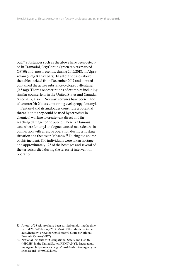out.33 Substances such as the above have been detected in Tramadol, OxyContin (green tablets marked OP 80) and, most recently, during 2017/2018, in Alprazolam (2 mg Xanax bars). In all of the cases above, the tablets seized from December 2017 and onward contained the active substance cyclopropylfentanyl (0.5 mg). There are descriptions of examples including similar counterfeits in the United States and Canada. Since 2017, also in Norway, seizures have been made of counterfeit Xanax containing cyclopropylfentanyl.

Fentanyl and its analogues constitute a potential threat in that they could be used by terrorists in chemical warfare to create vast direct and farreaching damage to the public. There is a famous case where fentanyl analogues caused mass deaths in connection with a rescue operation during a hostage situation at a theatre in Moscow.34 During the course of this incident, 800 individuals were taken hostage and approximately 125 of the hostages and several of the terrorists died during the terrorist intervention operation.

<sup>33</sup> A total of 33 seizures have been carried out during the time period 2015–February 2018. Most of the tablets contained acetylfentanyl or cyclopropylfentanyl. Source: National Forensic Centre (NFC)

<sup>34</sup> National Institute for Occupational Safety and Health (NIOSH) in the United States. FENTANYL: Incapacitating Agent, https://www.cdc.gov/niosh/ershdb/emergencyresponsecard\_29750022.html.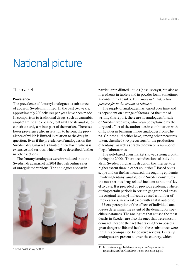# National picture

### The market

#### **Prevalence**

The prevalence of fentanyl analogues as substance of abuse in Sweden is limited. In the past two years, approximately 200 seizures per year have been made. In comparison to traditional drugs, such as cannabis, amphetamine and cocaine, fentanyl and its analogues constitute only a minor part of the market. There is a lower prevalence also in relation to heroin, the prevalence of which is limited in relation to the drug in question. Even if the prevalence of analogues on the Swedish drug market is limited, their harmfulness is extensive and serious, which will be described further in other sections.

The fentanyl analogues were introduced into the Swedish drug market in 2014 through online sales of unregulated versions. The analogues appear in



Seized nasal spray bottles.

particular in diluted liquids (nasal sprays), but also as ingredients in tablets and in powder form, sometimes as content in capsules. *For a more detailed picture, please refer to the section on seizures.* 

The supply of analogues has varied over time and is dependent on a range of factors. At the time of writing this report, there are no analogues for sale on Swedish websites, which can be explained by the targeted effort of the authorities in combination with difficulties in bringing in new analogues from China. Chinese authorities have, among other measures taken, classified two precursors for the production of fentanyl, as well as cracked down on a number of illegal laboratories.

The web-based drug market showed strong growth during the 2000s. There are indications of individuals in Sweden purchasing drugs on the internet to a higher extent than in other countries.<sup>35</sup> Based on its scope and on the harm caused, the ongoing epidemic involving fentanyl analogues in Sweden constitutes the most serious drug-related incident at national level to date. It is preceded by previous epidemics where, during certain periods in certain geographical areas, the original fentanyl molecule caused a number of intoxications, in several cases with a fatal outcome.

Users' perception of the effects of individual analogues determines the extent of the demand for specific substances. The analogues that caused the most deaths in Sweden are also the ones that were most in demand. Despite the fact that taking them posed a great danger to life and health, these substances were initially accompanied by positive reviews. Fentanyl analogues are present all over the country, which

<sup>35</sup> https://www.globaldrugsurvey.com/wp-content/ uploads/2016/06/GDS2016-Press-Release-1.pdf.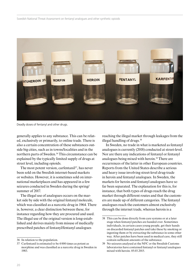

Deadly doses of fentanyl and other drugs.

generally applies to any substance. This can be related, exclusively or primarily, to online trade. There is also a certain concentration of these substances outside big cities, such as in towns/localities and in the northern parts of Sweden.<sup>36</sup> This circumstance can be explained by the typically limited supply of drugs at street level, including opioids.

The most potent version, carfentanil<sup>37</sup>, has never been sold on the Swedish internet-based markets or websites. However, it is sometimes sold on international marketplaces and has appeared in a few seizures conducted in Sweden during the spring/ summer of 2017.

The illegal use of analogues occurs on the market side by side with the original fentanyl molecule, which was classified as a narcotic drug in 1964. There is, however, a clear distinction between these, for instance regarding how they are procured and used. The illegal use of the original version is long-established and derives mainly from misuse of medically prescribed patches of fentanyl/fentanyl analogues

reaching the illegal market through leakages from the illegal handling of drugs.38

In Sweden, no trade in what is marketed as fentanyl analogues is currently (2018) conducted at street-level. Nor are there any indications of fentanyl or fentanyl analogues being mixed with heroin.39 There are occurrences of the latter in other European countries. Reports from the United States describe a serious and heavy issue involving street-level drug-trade in heroin and fentanyl analogues. In Sweden, the markets for heroin and fentanyl analogues have so far been separated. The explanation for this is, for instance, that both types of drugs reach the drug market through different routes and that the customers are made up of different categories. The fentanyl analogues reach the customers almost exclusively through the internet trade, whereas heroin is a

<sup>36</sup> In relation to the population.

<sup>37</sup> Carfentanil is estimated to be 4 000 times as potent as morphine and was classified as a narcotic drug in Sweden in 1983.

<sup>38</sup> This can be done directly from care systems or at a later stage when fentanyl patches are handed over. Sometimes individuals, in certain cases young people, get their hands on discarded fentanyl patches and take these by smoking or ingesting them or by extracting the substance in some other way. After patches have been used in medical care, they still contain sufficient amounts of the substance.

<sup>39</sup> No seizures analysed at the NFC or the Swedish Customs laboratories have contained fentanyl or fentanyl analogues mixed with heroin. 05.03.2015.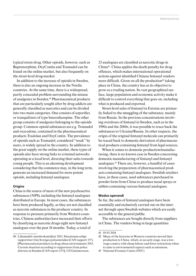typical street-drug. Other opioids, however, such as Buprenorphine, OxyContin and Tramadol can be found on the online market, but also frequently on the street-level drug-market.

In addition to the increase of opioids in Sweden, there is also an ongoing increase in the Nordic countries. At the same time, there is a widespread, partly concealed problem surrounding the misuse of analgesics in Sweden.40 Pharmaceutical products that are particularly sought after by drug addicts are generally classified as narcotics and can be divided into two main categories. One consists of soporifics or tranquilizers of type benzodiazepine. The other group consists of analgesics belonging to the opioids group. Common opioid substances are e.g. Tramadol and oxycodone, contained in the pharmaceutical products Tradolan and OxyContin. The prevalence of opioids such as Tramadol, considered "weak" by users, is widely spread in the country. In addition to the great supply on the online market, these types of opioids also have strong links to criminal networks operating at a local level, directing their sales towards young people. This is an alarming development considering that the commerce may, in the long term, generate an increased demand for more potent opioids, including fentanyl analogues.

#### **Origins**

China is the source of most of the new psychoactive substances (NPS), including the fentanyl analogues distributed in Europe. In most cases, the substances have been produced legally, as they are not classified as narcotic substances in the producer country. In response to pressure primarily from Western countries, Chinese authorities have increased their efforts by classifying as narcotic drugs eight new fentanyl analogues over the past 18 months. Today, a total of

23 analogues are classified as narcotic drugs in China41. China applies the death penalty for drug offences, which makes international operational actions against identified Chinese fentanyl vendors more difficult. Given on all the production<sup>42</sup> taking place in China, the country has as its objective to grow as a trading nation. Its vast geographical surface, large population and economic activity make it difficult to control everything that goes on, including what is produced and exported.

Street-level sales of fentanyl in Estonia are primarily linked to the smuggling of the substance, mainly from Russia. In the previous concentrations involving overdoses of fentanyl in Sweden, such as in the 1990s and the 2000s, it was possible to trace back the substances to Ukraine/Russia. In other respects, the origin of the original fentanyl molecule can primarily be traced back to domestic derivation of pharmaceutical products containing fentanyl from legal sources.

When it comes to domestic production/manufacturing, there is no known case in Sweden concerning domestic manufacturing of fentanyl and fentanyl analogues.43 There are, however, a handful of cases involving the preparation of pharmaceutical products containing fentanyl analogues. Swedish retailers have, in these cases, used substances purchased in powder form from China to produce nasal sprays or tablets containing various fentanyl analogues.

#### **Modus operandi**

So far, the sales of fentanyl analogues have been essentially and exclusively carried out on the internet through open Swedish websites which are easily accessible to the general public.

The substances are bought directly from suppliers in China. The vendors bring in large quantities

<sup>40</sup> Läkemedel i missbruksmiljöer 2015, Situationen enligt rapportörer från Sveriges polisområden (CAN rapport 157). [Pharmaceutical products in drug-abuse environments 2015, Current situation according to rapporteurs from police districts in Sweden (CAN report 157)]. Ulf Guttmorsson.

<sup>41 05.03.2018.</sup>

<sup>42</sup> Many of the factories in Western countries moved their production to China, which, at an early stage, was a lowwage country with cheap labour and fewer restrictions when it came to environmental aspects such as emissions.

<sup>43</sup> National Forensic Centre (NFC)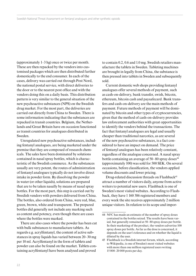(approximately 1–3 hg) once or twice per month. These are then repacked by the vendors into customised packages which are then distributed further domestically to the end consumer. In each of the cases, delivery was carried out through Post Nord, the national postal service, with direct deliveries to the door or to the nearest post office and with the vendors doing this on a daily basis. This distribution pattern is very similar to the general situation of the new psychoactive substances (NPS) on the Swedish drug market. For the most part, the deliveries are carried out directly from China to Sweden. There is some information indicating that the substances are repacked in transit countries. Belgium, the Netherlands and Great Britain have on occasion functioned as transit countries for analogues distributed in Sweden.

Unregulated new psychoactive substances, including fentanyl analogues, are being marketed under the premise that they are composed of research chemicals. The sales have been dominated by solutions contained in nasal spray bottles, which is characteristic of the Swedish commerce. As the substances usually are very potent, the routes of administration of fentanyl analogues typically do not involve direct intake in powder form. By dissolving the powder in water (or other liquids), solutions are prepared that are to be taken nasally by means of nasal spray bottles. For the most part, this step is carried out by Swedish vendors with powders delivered from China. The bottles, also ordered from China, were red, blue, green, brown, white and transparent. The prepared bottles did generally not include any marking such as content and potency, even though there are cases where the bottles were marked.

There are also cases where the powder has been cut with bulk substances to manufacture tablets. As regards e.g. acrylfentanyl, the content of active substances in spray liquids has varied between 20–30 mg per 10 ml. Acrylfentanyl in the form of tablets and powder can also be found on the market. Tablets containing acrylfentanyl have been analysed and proved

to contain 0.2, 0.6 and 1.0 mg. Swedish retailers manufacture the tablets in Sweden. Tableting machines are brought in legally from China, the substance is then pressed into tablets in Sweden and subsequently sold.

Current domestic web shops providing fentanyl analogues offer several methods of payment, such as cash-on-delivery, bank transfer, swish, bitcoin, ethereum, bitcoin cash and paysafecard. Bank transfers and cash-on-delivery are the main methods of payment. Future methods of payment will be dominated by bitcoin and other types of cryptocurrencies, given that the method of cash-on-delivery provides law enforcement authorities with great opportunities to identify the vendors behind the transactions. The fact that fentanyl analogues are legal and usually cheaper than traditional narcotics, as are several of the new psychoactive substances, is a fact considered to have an impact on demand. The price of fentanyl analogues has been relatively constant, regardless of the analogue concerned. A nasal spray bottle containing an average of  $50-80$  spray doses<sup>44</sup> (approximately 100) was sold for 500 SEK. On several occasions, before classification, the vendors applied volume discounts and lower pricing.

Drug-related discussion threads on Flashback<sup>45</sup> attract a number of visitors daily, anyone from active writers to potential new users. Flashback is one of Sweden's most visited websites. According to Flashback, they have 1 160 386 registered members and every week the site receives approximately 2 million unique visitors. In relation to its scope and impor-

<sup>44</sup> NFC has made an estimate of the number of spray doses contained in the bottles seized. The results have been varied, but generally remained at 50–80 spray doses per bottle. In their marketing of the product, the vendors advertise 100 spray doses per bottle. As far as the dose is concerned, it depends on the user's tolerance and on whether the liquid is diluted by the user.

<sup>45</sup> Flashback is a Swedish internet forum, which, according to Wikipedia, is one of Sweden's most visited websites with more than one million registered users writing 15 000–20 000 posts per day.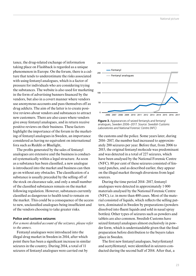tance, the drug-related exchange of information taking place on Flashback is regarded as a unique phenomenon in Europe. On the forum, there is a culture that tends to underestimate the risks associated with using fentanyl analogues, which is a factor of pressure for individuals who are considering trying the substances. The website is also used for marketing in the form of advertising banners financed by the vendors, but also in a covert manner where vendors use anonymous accounts and pass themselves off as drug addicts. The aim of the latter is to create positive reviews about vendors and substances to attract new customers. There are also cases where vendors give away fentanyl analogues, and in return receive positive reviews on their business. These factors highlight the importance of the forum in the marketing of fentanyl analogues in Sweden, an importance considered as having no equivalent on international fora such as Reddit or Bluelight,

The profits generated by the sales of fentanyl analogues are extensive and the business is conducted systematically within a legal structure. As soon as a substance has been classified, a new analogue is introduced into the market and business can then go on without any obstacles. The classification of a substance is usually preceded by the selling off of the stock on clearance sale, and only a small number of the classified substances remain on the market following regulation. However, substances currently classified as dangerous to health tend to remain on the market. This could be a consequence of the access to new, unclassified analogues being insufficient and of the vendors choosing to take greater risks.

#### **Police and customs seizures**

#### *For a more detailed account of the seizures, please refer to the annex.*

Fentanyl analogues were introduced into the illegal drug market in Sweden in 2014, after which point there has been a significant increase in similar seizures in the country. During 2014, a total of 11 seizures of fentanyl analogues were carried out by



**Figure 3.** Appearances of seized fentanyls and fentanyl analogues, Sweden 2006–2017. *Source: Swedish Customs Laboratories and National Forensic Centre (NFC)*

the customs and the police. Some years later, during 2016–2017, the number had increased to approximately 200 seizures per year. Before that, from 2006 to 2015, the original fentanyl molecule was predominant and was detected in a total of 227 seizures, which have been analysed by the National Forensic Centre (NFC). 80 per cent of these seizures consisted of fentanyl patches, and as described earlier, they appear on the illegal market through diversions from legal sources.

During the time period 2014–2017, fentanyl analogues were detected in approximately 1 000 materials analysed by the National Forensic Centre (NFC), i.e. in more than 400 cases. Most of the material consisted of liquids, which reflects the selling pattern, dominated in Sweden by preparations (powders dissolved into fluent liquids and sold in nasal spray bottles). Other types of seizures such as powders and tablets are also common. Swedish Customs have seized fentanyl analogues almost exclusively in powder form, which is understandable given that the final preparation before distribution to the buyers takes place in Sweden.

The first new fentanyl analogues, butyrfentanyl and acetylfentanyl, were identified in seizures conducted during the second half of 2014. After that, a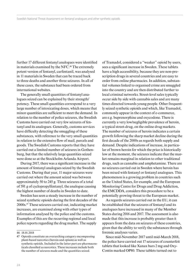further 17 different fentanyl analogues were identified in materials examined by the NFC.46 The extremely potent version of fentanyl, carfentanil, was analysed in 11 materials in Sweden that can be traced back to three deaths and another three seizures. In all of these cases, the substance had been ordered from international websites.

The generally small quantities of fentanyl analogues seized can be explained by their strength/ potency. These small quantities correspond to a very large number of intoxicating doses, which means that minor quantities are sufficient to meet the demand. In relation to the number of police seizures, the Swedish Customs have carried out very few seizures of fentanyl and its analogues. Generally, customs services have difficulty detecting the smuggling of these substances, with reference to the very small quantities in relation to the extensive flow of mail, parcels and goods. The Swedish Customs reports that they have carried out a limited number of seizures in Gothenburg, but that the relatively large quantities seized were done so at the Stockholm Arlanda Airport.

During 2017, there was a significant increase in the amount of fentanyl analogues seized by the Swedish Customs. During that year, 11 major seizures were carried out where the amount seized was between approximately 50 to 245 g. Three seizures of a total of 591 g of cyclopropylfentanyl, the analogue causing the highest number of deaths in Sweden to date.

Sweden has seen a steady increase in the number of seized synthetic opioids during the first decades of the 2000s.47 These seizures carried out, indicating market increases, are examined along with other types of information analysed by the police and the customs. Examples of this are the recurring regional and local police reports regarding the drug market. The supply

of Tramadol, considered a "weaker" opioid by users, sees a significant increase in Sweden. These tablets have a high accessibility, because they are non-prescription drugs in several countries and are easy to order from online pharmacies. In addition, substantial volumes linked to organised crime are smuggled into the country and are then distributed further to local criminal networks. Street-level sales typically occur side by side with cannabis sales and are many times directed towards young people. Other frequently seized synthetic opioids and which, like Tramadol, commonly appear in the context of e-commerce, are e.g. buprenorphine and oxycodone. There is currently a very low/negligible prevalence of heroin, a typical street-drug, on the online drug markets. The number of seizures of heroin indicates a certain growth following the sharp market decline during the first decade of the 2000s as regards both supply and demand. Despite indications of increase, in particular of brown heroin for which the price is historically low at the moment, the seizures indicate that the market remains marginal in relation to other traditional drugs, such as cannabis and amphetamine. There are no seizures carried out in Sweden where heroin has been mixed with fentanyl or fentanyl analogues. This phenomenon is a growing problem in countries such as the United States, for example, and the European Monitoring Centre for Drugs and Drug Addiction, the EMCDDA, considers this procedure to be a potentially growing threat to the European market.

As regards seizures carried out in the EU, it can be established that the seizures of fentanyl and its analogues have increased in many of the Member States during 2016 and 2017. The assessment is also made that this increase is probably greater than it appears from the data on seizures of these countries, given that the ability to verify the substances through forensic analyses varies.

Since mid-November 2017 until mid-March 2018, the police have carried out 17 seizures of counterfeit tablets that looked like Xanax bars 2 mg and Oxy-Contin marked OP80. These tablets turned out to

<sup>46 18.01.2018</sup>

<sup>47</sup> Opioids constitute an overarching category encompassing plant-based narcotics (heroin and opium) as well as synthetic opioids. Included in the latter part are pharmaceuticals classified as narcotics. These increases include both the number of seizures made and the quantities seized.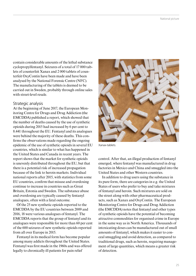contain considerable amounts of the lethal substance cyclopropylfentanyl. Seizures of a total of 17 000 tablets of counterfeit Xanax and 2 000 tablets of counterfeit OxyContin have been made and have been analysed by the National Forensic Centre (NFC). The manufacturing of the tablets is deemed to be carried out in Sweden, probably through online sales with street-level resale.

#### Strategic analysis

At the beginning of June 2017, the European Monitoring Centre for Drugs and Drug Addiction (the EMCDDA) published a report, which showed that the number of deaths caused by the use of synthetic opioids during 2015 had increased by 6 per cent to 8.441 throughout the EU. Fentanyl and its analogues were behind the majority of these deaths. This confirms the observations made regarding the ongoing epidemic of the use of synthetic opioids in several EU countries, which is similar to what has happened in the United States and Canada in recent years. The report shows that the market for synthetic opioids is unevenly distributed throughout the EU, but that there is a potential risk of increased propagation because of the link to heroin markets. Individual national reports after 2015, with statistics from some EU countries, confirm that misuse and overdosing continue to increase in countries such as Great Britain, Estonia and Sweden. The substance abuse and overdosing are typically caused by fentanyl analogues, often with a fatal outcome.

Of the 25 new synthetic opioids reported to the EMCDDA by the EU countries between 2009 and 2016, 18 were various analogues of fentanyl. The EMCDDA reports that the group of fentanyl and its analogues were responsible for more than 60 per cent of the 600 seizures of new synthetic opioids reported from all over Europe in 2015.

Fentanyl in its medical form has become popular among many addicts throughout the United States. Fentanyl was first made in the 1960s and was offered legally to chronically ill patients for pain relief



Xanax-tablets.

control. After that, an illegal production of fentanyl emerged, where fentanyl was manufactured in drug factories in Mexico and China and smuggled into the United States and other Western countries.

In addition to drug users using the substance in its pure form, there are categories in e.g. the United States of users who prefer to buy and take mixtures of fentanyl and heroin. Such mixtures are sold on the street along with other pharmaceutical products, such as Xanax and OxyContin. The European Monitoring Centre for Drugs and Drug Addiction (the EMCDDA) notes that fentanyl and other types of synthetic opioids have the potential of becoming attractive commodities for organised crime in Europe in the same way as in North America. Thousands of intoxicating doses can be manufactured out of small amounts of fentanyl, which makes it easier to conceal smuggling and avoid detection, as compared to traditional drugs, such as heroin, requiring management of large quantities, which means a greater risk of detection.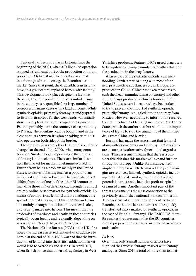Fentanyl has been popular in Estonia since the beginning of the 2000s, when a Taliban-led operation stopped a significant part of the production of opium poppies in Afghanistan. The operation resulted in a shortage of heroin on e.g. the Estonian heroin market. Since that point, the drug addicts in Estonia have, to a great extent, replaced heroin with fentanyl. This development took place despite the fact that the drug, from the point in time of its initial misuse in the country, is responsible for a large number of overdoses, in many cases with a fatal outcome. While synthetic opioids, primarily fentanyl, rapidly spread to Estonia, its spread further westwards was initially slow. The explanation for this rapid development in Estonia probably lies in the country's close proximity to Russia, where fentanyl can be bought, and in the close contacts between Russian-speaking criminals who operate on both sides of the border.

The situation in several other EU countries quickly changed at the end of the 2000s, when many countries, e.g. Sweden, began reporting on the presence of fentanyl in the seizures. There are similarities in how the market for methamphetamine evolved in Europe from being a problem mainly in the United States, to also establishing itself as a popular drug in Central and Eastern Europe. The Swedish market differs from that of most of the other EU countries, including those in North America, through its almost entirely online-based market for synthetic opioids. By means of comparison, fentanyl and its analogues are spread in Great Britain, the United States and Canada mainly through "traditional" street-level sales, and usually mixed into heroin. This means that the epidemics of overdoses and deaths in those countries typically occur locally and regionally, depending on where the street-level drug-sales take place.

The National Crime Bureau (NCA) in the UK, first noted the increase in seized fentanyl as an additive to heroin at the end of 2016. NCA warned that the introduction of fentanyl into the British addiction market would lead to overdoses and deaths. In April 2017, when British police shut down a drug factory in West

Yorkshire producing fentanyl, NCA urged drug users to be vigilant following a number of deaths related to the production in the drug factory.

A large part of the synthetic opioids, currently flooding North America along with most of the new psychoactive substances sold in Europe, are produced in China. China has taken measures to curb the illegal manufacturing of fentanyl and other similar drugs produced within its borders. In the United States, several measures have been taken to try to prevent the import of synthetic opioids, primarily fentanyl, smuggled into the country from Mexico. However, according to information received, the manufacturing of fentanyl increases in the United States, which the authorities fear will limit the importance of trying to stop the smuggling of the finished drug from China and Mexico.

Europol has made the assessment that fentanyl along with its analogues and other synthetic opioids are an attractive alternative for criminal organisations. This assessment means that there is a considerable risk that this market will expand further throughout Europe. Unlike, for instance, methamphetamine, for which the market and profit margins are relatively limited, synthetic opioids, including fentanyl and its analogues, represent a large potential market and a lucrative profit margin for organised crime. Another important part of the threat assessment is the close connection to the previously established national markets for heroin. There is a risk of a similar development to that of Estonia, i.e. that the heroin market will be quickly transformed into a market for synthetic opioids, in the case of Estonia – fentanyl. The EMCDDA therefore makes the assessment that the EU countries should prepare for a continued increase in overdoses and deaths.

#### Actors

Over time, only a small number of actors have supplied the Swedish fentanyl market with fentanyl analogues. Since 2014, a total of more than ten net-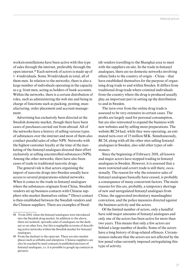works/constellations have been active with this type of sales through the internet, preferably through the open internet.48 Each network of actors is made up of 1–4 individuals. Some 30 individuals in total, all of them men. In relation to the networks, there is also a large number of individuals operating in the capacity as e.g. front men, acting as holders of bank accounts. Within the networks, there is a certain distribution of roles, such as administering the web site and being in charge of functions such as packing, posting, manufacturing, order placement and account management.

Advertising has exclusively been directed at the Swedish domestic market, though there have been cases of purchases carried out from abroad. All of the networks have a history of selling various types of substances over the internet and most of them also conduct parallel sales of other NPS. Networks with the highest customer loyalty at the time of the marketing of the fentanyl analogues directed their effort exclusively at selling uncontrolled substances (NPS). Among the other networks, there have also been cases of trade in traditional narcotic drugs.

The general rule is that actors organising the import of narcotic drugs into Sweden usually have access to several preparations-related networks. When it comes to the trade in fentanyl analogues where the substances originate from China, Swedish vendors set up business contacts with Chinese suppliers who market themselves online.49 Direct contact is then established between the Swedish vendors and the Chinese suppliers. There are examples of Swed-

ish vendors travelling to the Shanghai area to meet with the suppliers on-site. In the trade in fentanyl analogues, there are no domestic networks involving ethnic links to the country of origin – China – that have established themselves for the purpose of organising drug trade to and within Sweden. It differs from traditional drug-trade where criminal individuals from the country where the drug is produced usually play an important part in setting up the distribution to and in Sweden.

The turn-over from the online drug trade is assessed to be very extensive in certain cases. The profits are largely used for personal consumption, but are also reinvested to expand the business with new websites and by selling more preparations. The website RC24 had, while they were operating, an estimated turn-over of 15 million SEK. Simultaneously, RC24, along with all the other sites selling fentanyl analogues in Sweden, also sold other types of substances.

Since the beginning of February 2018, all known and major actors have stopped trading in fentanyl analogues in Sweden. However, it is assessed that a more restricted and covert trade is still there, occasionally. The reason for why the extensive sales of fentanyl analogues basically have ceased, is probably a consequence of many concurrent factors. The main reasons for this are, probably, a temporary shortage of new and unregulated fentanyl analogues from China, the aggravated involuntary manslaughter conviction, and the police measures directed against the business activity and the actors.

Of the limited number of actors, only a handful have sold major amounts of fentanyl analogues and only one of the actors has been active for more than two years. This means that only a few actors are behind a large number of deaths. Some of the actors have a long history of drug-related offences. Circumstances indicate that the actors are not affected by the low penal value currently imposed on/regulating this type of activity.

<sup>48</sup> From 2014, when the fentanyl analogues were introduced into the Swedish drug market. In addition to the above, there are isolated, sporadic sales of analogues on the darknet or on other fora, but this is negligible in terms of describing active networks within the Swedish market for fentanyl analogues.

<sup>49</sup> From the darknet to the open net. There are also market places such as alibaba and aliexpress. Chinese suppliers can also be reached by mail contacts in published pictures of fentanyl analogues, i.e. it is possible to google up contacts in pictures.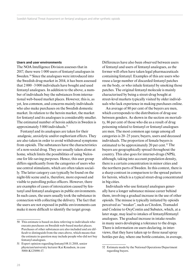#### **Users and user environments**

The NOA Intelligence Division assesses that in 2017, there were 1 000 users of fentanyl analogues in Sweden.<sup>50</sup> Since the analogues were introduced into the Swedish drug market in 2014, it has been assessed that 2 000 –3 000 individuals have bought and used fentanyl analogues. In addition to the above, a number of individuals buy the substances from international web-based market places. However, this is, as yet, less common, and concerns mainly individuals who also make purchases on the Swedish domestic market. In relation to the heroin market, the market for fentanyl and its analogues is considerably smaller. The estimated number of heroin addicts in Sweden is approximately 5 000 individuals.51

Fentanyl and its analogues are taken for their analgesic, anxiolytic and/or euphoriant effects. They are also taken in order to avoid withdrawal symptoms from opioids. The substances have the characteristics of a non-social drug. They are usually taken alone at home, which limits the possibilities of using Naloxone for life-saving purposes. Hence, this user group differs significantly from the categories of users who use central stimulants, which are often taken socially. The latter category can typically be found on the night-life scene and is, therefore, more exposed and visible to patrolling police officers. However, there are examples of cases of intoxication caused by fentanyl and fentanyl analogues in public environments. In such cases, the users usually took the substance in connection with collecting the delivery. The fact that the users are not exposed in public environments can make it more difficult to identify the target group.

Differences have also been observed between users of fentanyl and users of fentanyl analogues, as the former will often have taken legal pharmaceuticals containing fentanyl. Examples of this are users who reuse a large number of discarded fentanyl patches on the body, or who inhale fentanyl by smoking those patches. The original fentanyl molecule is mainly characterised by being a street-drug bought at street-level markets typically visited by older individuals who lack experience in making purchases online.

An average of 80 per cent of the buyers are men, which corresponds to the distribution of drug-use between genders. As shown in the section on mortality, 86 per cent of those who die as a result of drug poisoning related to fentanyl or fentanyl analogues are men. The most common age range among all categories is 20–25 years; buyers, users and deceased individuals. The proportion of female buyers is estimated to be approximately 20 per cent.<sup>52</sup> The buyers are geographically spread throughout the country. This also goes for internet-drugs (NPS), although, taking into account population density, there is a certain concentration in minor cities and the northern parts of Sweden. In this context, there is a sharp contrast in comparison to the spread pattern for heroin, which is a typical street-drug concentrated in big cities.

Individuals who use fentanyl analogues generally have a longer substance misuse career behind them, involving a gradual increase in the use of other opioids. The misuse is typically initiated by opioids perceived as "weaker", such as Citodon, Tramadol and Codeine to OxyContin and Subutex, which, at a later stage, may lead to intakes of fentanyl/fentanyl analogues. The gradual increase in intake results in many users developing a tolerance to the drugs. There is information on users declaring, in interviews, that they have taken up to three nasal spray bottles per day, where one bottle contains, in average,

<sup>50</sup> This estimate is based on data referring to individuals who execute purchases on Swedish web-based market places. Purchases of other substances are also included and are difficult to distinguish from the ones above, which means that the estimate in question may include people who did not buy fentanyl analogues.

<sup>51</sup> Expert opinion regarding fentanyl 08.11.2018, senior physician/university lecturer Kai Knudsen, in case 5000-K125090-17.

<sup>52</sup> Estimate made by the National Operations Department regarding buyers.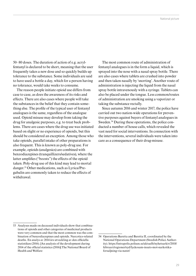50–80 doses. The duration of action of e.g. acrylfentanyl is declared to be short, meaning that the user frequently takes a new dose and so quickly builds up tolerance to the substance. Some individuals are said to have used a bottle a day, which for a person having no tolerance, would take weeks to consume.

The reason people initiate opioid use differs from case to case, as does the awareness of its risks and effects. There are also cases where people will take the substances in the belief that they contain something else. The profile of the typical user of fentanyl analogues is the same, regardless of the analogue used. Opioid misuse may develop from taking the drug for analgesic purposes, e.g. to treat back problems. There are cases where the drug use was initiated based on slight or no experience of opioids, but this should be considered an exception. Among those who take opioids, parallel intake of other preparations is also frequent. This is known as poly-drug use. For example, opioids (analgesics) are combined with benzodiazepines (tranquillizers/sedatives), where the latter amplifies ("boosts") the effects of the opioid taken. Poly-drug use of this kind may lead to mortal danger.53 Other medications, such as Lyrica/Pregabalin are commonly taken to reduce the effects of withdrawal.

The most common route of administration of fentanyl analogues is in the form a liquid, which is sprayed into the nose with a nasal spray bottle. There are also cases where tablets are crushed into powder and then taken nasally by 'snorting'. Another route of administration is injecting the liquid from the nasal spray bottle intravenously with a syringe. Tablets can also be placed under the tongue. Less common/routes of administration are smoking using a vaporizer or taking the substance rectally.

Since autumn 2016 and winter 2017, the police have carried out two nation-wide operations for preventive purposes against buyers of fentanyl analogues in Sweden.<sup>54</sup> During these operations, the police conducted a number of house calls, which revealed the vast need for social interventions. In connection with the interventions, several individuals were taken into care as a consequence of their drug-misuse.

<sup>53</sup> Analyses made on deceased individuals show that combinations of opioids and other categories of medicinal products were very common and that the most common was the combination of benzodiazepines and opioids. Narcotics-related deaths. En analys av 2014 års utveckling av den officiella statistiken (2016). [An analysis of the development during 2014 of the official statistics (2016)] The National Board of Health and Welfare

<sup>54</sup> Operations Baretta and Baretta II, coordinated by the National Operations Department (Swedish Police Authority). https://intrapolis.polisen.se/aktuellt/nyhetsarkiv/2018/ februari/regioner/syd/lyckosam-insats-mot-narkotikaforsaljning-via-natet/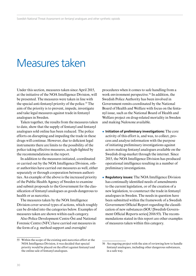### Measures taken

Under this section, measures taken since April 2015, at the initiative of the NOA Intelligence Division, will be presented. The measures were taken in line with the special anti-fentanyl priority of the police.<sup>55</sup> The aim of the priority is to prevent, impede, investigate and take legal measures against trade in fentanyl analogues in Sweden.

Taken together, the results from the measures taken to date, show that the supply of fentanyl and fentanyl analogues sold online has been reduced. The police efforts on disrupting and impeding the trade in these drugs will continue. However, due to deficient legal instruments there are limits to the possibility of the police taking effective measures, as high-lighted by the recommendations in the report.

In addition to the measures initiated, coordinated or carried out by the NOA Intelligence Division, other authorities have carried out measures as well, either separately or through cooperation between authorities. An example of the above is the increased priority of the Public Health Agency of Sweden to examine and submit proposals to the Government for the classification of fentanyl analogues as goods dangerous to health or as narcotics.

The measures taken by the NOA Intelligence Division cover several types of actions, which roughly can be divided into the categories below. Examples of measures taken are shown within each category.

Also Police Development Centre Öst and National Forensic Centre (NFC) have carried out measures in the form of e.g. method support and oversight/

procedures when it comes to safe handling from a work environment perspective.<sup>56</sup> In addition, the Swedish Police Authority has been involved in Government remits coordinated by the National Board of Health and Welfare with focus on the fentanyl issue, such as the National Board of Health and Welfare project on drug-related mortality in Sweden and making Naloxone available.

- ¿ **Initiation of preliminary investigations:** The core activity of this effort is, and was, to collect, process and analyse information with the purpose of initiating preliminary investigations against actors making fentanyl analogues available on the Swedish drug-market through the internet. Since 2015, the NOA Intelligence Division has produced operational intelligence resulting in a number of preliminary investigations.
- ¿ **Regulatory issues:** The NOA Intelligence Division has continually identified needs of amendments to the current legislation, or of the creation of a new legislation, to counteract the trade in fentanyl analogues in Sweden. The needs in question have been submitted within the framework of a Swedish Government Official Report regarding the classification of new substances (SOU [Swedish Government Official Reports series] 2016:93). The recommendations stated in this report are other examples of measures taken within this category.

<sup>55</sup> Within the scope of the existing anti-narcotics effort at the NOA Intelligence Division, it was decided that special priority would be placed on the effort against fentanyl and the online sale of fentanyl analogues.

<sup>56</sup> An ongoing project with the aim of reviewing how to handle fentanyl analogues, including other dangerous substances, in a safe way.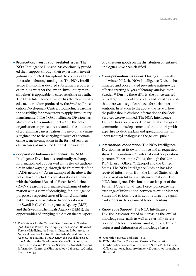- ¿ **Prosecution/investigations-related issues:** The NOA Intelligence Division has continually provided their support through their expertise in investigations conducted throughout the country against the trade in fentanyl analogues. The NOA Intelligence Division has devoted substantial resources to examining whether the law on 'involuntary manslaughter' is applicable to cases resulting in death. The NOA Intelligence Division has therefore initiated a memorandum produced by the Swedish Prosecution Development Centre, Stockholm, regarding the possibility for prosecutors to apply 'involuntary manslaughter'. The NOA Intelligence Division has also conducted a similar effort within the police organisation on procedures related to the initiation of a preliminary investigation into involuntary manslaughter and to the carrying through of adequate crime scene investigations in the form of seizures etc., in cases of suspected fentanyl intoxication.
- ¿ **Cooperation between authorities:** The NOA Intelligence Divi-sion has continually exchanged information and cooperated with relevant authorities in other ways e.g. through the framework of the NAD is network.<sup>57</sup> As an example of the above, the police have concluded a collaboration agreement with the National Board of Forensic Medicine (RMV) regarding a formalised exchange of information with a view of identifying, for intelligence purposes, suspected cases of fentanyl and fentanyl analogues intoxication. In cooperation with the Swedish Civil Contingencies Agency (MSB) and the Swedish Chemicals Agency (KEMI), the opportunities of applying the Act on the transport

of dangerous goods on the distribution of fentanyl analogues have been clarified.

- ¿ **Crime prevention measures:** During autumn 2016 and winter 2017, the NOA Intelligence Division has initiated and coordinated preventive nation-wide efforts targeting buyers of fentanyl analogues in Sweden.<sup>58</sup> During these efforts, the police carried out a large number of house calls and could establish that there was a significant need for social interventions. In relation to the above, the issue of how the police should disclose information to the Social Services were examined. The NOA Intelligence Division has also provided the national and regional communications departments of the authority with expertise to alert, explain and spread information about fentanyl analogues to the general public.
- ¿ **International cooperation:** The NOA Intelligence Division has, at its own initiative and as requested, shared information with international cooperation partners. For example China, through the Nordic PTN Liaison Officer<sup>59</sup>, Europol and the United States. The NOA Intelligence Division has also received information from the United States which has proved useful to Swedish investigations. The NOA Intelligence Division is an active part of the Fentanyl Operational Task Force to increase the exchange of information between relevant Member States and to join forces in actions targeting significant actors in the organised trade in fentanyl.
- ¿ **Knowledge Support:** The NOA Intelligence Division has contributed to increasing the level of knowledge internally as well as externally in relation to the trade in fentanyl analogues, e.g. through lectures and elaboration of knowledge-bases.

<sup>57</sup> The Network for the Current Drug Situation in Sweden (NADis) The Public Health Agency, the National Board of Forensic Medicine, the Swedish Customs Laboratory, the National Forensic Centre, the Swedish Medical Products Agency, the National Food Agency, the Swedish Prosecution Authority, the Development Centre Stockholm, the Swedish Prison and Probation Service, the Swedish Poisons Information Centre, the Pharmacology Laboratory, Clinical Pharmacology.

<sup>58</sup> Operation Baretta and Baretta II.

<sup>59</sup> PTN – the Nordic Police and Customs Cooperation is Nordic police cooperation. There are Nordic PTN Liaison Officers stationed in approximately 20 countries throughout the world.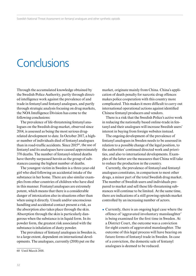# **Conclusions**

Through the accumulated knowledge obtained by the Swedish Police Authority, partly through directed intelligence work against the prevalence of and trade in fentanyl and fentanyl analogues, and partly through strategic analysis focusing on drug markets, the NOA Intelligence Division has come to the following conclusions:

The prevalence of life-threatening fentanyl analogues on the Swedish drug-market, observed since 2014, is assessed as being the most serious drugrelated development to date. In October 2017, a higher number of individuals died of fentanyl analogues than in road-traffic accidents. Since 201560, the use of fentanyl and its analogues have caused approximately 370 deaths. The number of fentanyl-related deaths have thereby surpassed heroin as the group of substances causing the highest number of deaths.

The youngest victim in Sweden is a three-year-old girl who died following an accidental intake of the substance in her home. There are also similar examples from other countries of children who have died in this manner. Fentanyl analogues are extremely potent, which means that there is a considerable danger of intoxication also in situations other than when using it directly. Unsafe and/or unconscious handling and accidental contact present a risk, as the absorption also takes place through the skin. Absorption through the skin is particularly dangerous when the substance is in liquid form. In its powder form, the greatest risk associated with the substance is inhalation of dusty powder.

The prevalence of fentanyl analogues in Sweden is, to a large extent, dependent on international developments. The analogues, currently (2018) put on the

market, originate mainly from China. China's application of death penalty for narcotic drug offences makes police cooperation with this country more complicated. This makes it more difficult to carry out international operational actions against identified Chinese fentanyl producers and vendors.

There is a risk that the Swedish Police's active work in reducing the nationally based online-trade in fentanyl and their analogues will increase Swedish users' interest in buying from foreign websites instead.

The ongoing development of the prevalence of fentanyl analogues in Sweden needs to be assessed in relation to a possible change of the legal position, to the authorities' continued directed work and priorities, and also to international developments. Examples of the latter are the measures that China will take to reduce the production in the country.

Currently, the prevalence of fentanyl and fentanyl analogues constitutes, in comparison to most other drugs, a minor part of the total Swedish drug market. The number of Swedish users and individuals prepared to market and sell these life-threatening substances will continue to be limited. At the same time, there are indications of a still growing opioids market controlled by an increasing number of actors.

 $\bullet$  Currently, there is an ongoing legal case where the offence of 'aggravated involuntary manslaughter' is being examined for the first time in Sweden. At a District Court, the outcome was a conviction for eight counts of aggravated manslaughter. The outcome of this legal process will have bearing on future forms of fentanyl trade in Sweden. In case of a conviction, the domestic sale of fentanyl analogues is deemed to be reduced.

<sup>60</sup> Until March 2018.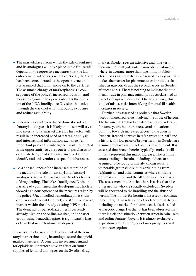- $\bullet$  The marketplaces from which the sale of fentanyl and its analogues will take place in the future will depend on the repressive measures that the law enforcement authorities will take. So far, the trade has been concentrated to the open internet, but it is assumed that it will move on to the dark net. The assumed change of marketplaces is a consequence of the police's increased focus on, and measures against the open trade. It is the opinion of the NOA Intelligence Division that sales through the dark net will limit public exposure and reduce availability.
- In connection with a reduced domestic sale of fentanyl analogues, it is likely that users will try to find international marketplaces. This factor will result in an increased need of strategic analysis and international information exchange. An important part of the intelligence work conducted is the opportunity to carry out trial purchases to establish the type of substance involved and to identify and link vendors to specific substances.
- ¿ As a consequence of the increased attention of the media to the sale of fentanyl and fentanyl analogues in Sweden, actors turn to other forms of drug dealing. The NOA Intelligence Division has already confirmed this development, which is viewed as a consequence of the measures taken by the police. Uncontrolled benzodiazepines (tranquillizers with a milder effect) constitute a new big market within the already existing NPS market. The demand for benzodiazepines is currently already high on the online-market, and the user group using benzodiazepines is significantly larger than that using fentanyl analogues.

There is a link between the development of the fentanyl market (including its analogues) and the opioid market in general. A generally increasing demand for opioids will therefore have an effect on future supplies of fentanyl analogues on the Swedish drug

market. Sweden sees an extensive and long-term increase in the illegal trade in narcotic substances, where, in average, more than one million tablets classified as narcotic drugs are seized every year. This makes the market for pharmaceutical products classified as narcotic drugs the second largest in Sweden after cannabis. There is nothing to indicate that the illegal trade in pharmaceutical products classified as narcotic drugs will decrease. On the contrary, this kind of misuse risks intensifying if mental ill health increases in society.

Further, it is assessed as probable that Sweden faces an increased issue involving the abuse of heroin. The heroin market has been decreasing considerably for some years, but there are several indications pointing towards increased access to the drug in Sweden. Record harvests in Afghanistan in 2017 and a historically low price of brown heroin in Sweden are assumed to have an impact on this development. It is assessed that brown heroin (typically smoked) will initially represent this major increase. The criminal actors trading in heroin, including addicts, are assumed to be found primarily among socially vulnerable groups/individuals originating from Afghanistan and other countries where smoking opium is common and the attitude more permissive. The assessment made is that there is a risk that also other groups who are socially excluded in Sweden will be recruited to the handling and the abuse of heroin. The market for heroin is assessed to continue to be marginal in relation to other traditional drugs, including the market for pharmaceuticals classified as narcotic drugs. Further, it has been observed that there is a clear distinction between street-heroin users and online fentanyl buyers. It is almost exclusively a question of different types of user groups, even if there are exceptions.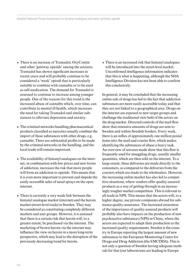- ¿ There is an increase of Tramadol, OxyContin and other 'gateway opioids' among the seizures. Tramadol has shown significant increases in recent years and will probably continue to be considered a 'weak' opioid that is particularly suitable to combine with cannabis or to be used as self-medication. The demand for Tramadol is assessed to continue to increase among younger people. One of the reasons for this trend is the increased abuse of cannabis which, over time, can contribute to mental ill health, which increases the need for taking Tramadol and similar substances to alleviate depression and anxiety.
- $\bullet$  The criminal networks handling pharmaceutical products classified as narcotics usually combine the import of these substances with other drugs, e.g. cannabis. There are substantial profits to be made by the criminal networks in the handling, and the local trade will remain important.
- $\bullet$  The availability of fentanyl analogues on the internet, in combination with low prices and new forms of addiction, increases the risk that more people will form an addiction to opioids. This means that it is even more important to prevent and impede the easily accessible sales of nasal sprays on the open internet.
- $\bullet$  There is currently a very weak link between the fentanyl analogue market (internet) and the heroin market (street-level trade) in Sweden. They may be considered as constituting completely different markets and user groups. However, it is assessed that there is a certain risk that heroin will, to a greater extent, be purchased via the internet. The marketing of brown heroin via the internet may influence the view on heroin in a more long-term perspective, which may lead to the disruption of the previously decreasing trend for heroin.

 $\triangle$  There is an increased risk that fentanyl analogues will be introduced into the street-level market. Unconfirmed intelligence information indicates that this is what is happening, although the NOA Intelligence Division has not been able to confirm this conclusively.

In general, it may be concluded that the increasing online sale of drugs has led to the fact that addiction substances are more easily accessible today and that they are not linked to a geographical area. Drugs on the internet are exposed to new target groups and challenge the traditional view held of the actors on the drug market. Directed controls of the mail flow show that extensive amounts of drugs are sent to Sweden and within Swedish borders. Every week, there is an influx of approximately one million postal items into the mail and courier flow, which makes identifying the substances of abuse a heavy task. An overview of seizures made show that this flow is frequently used for smuggling drugs, usually smaller quantities, which are then sold on the internet. To a large extent, these deliveries are made directly to the consumers, as compared to the deliveries from the couriers which are made to the wholesalers. However, the increasing online market has also led to competitive situations, where vendors offer quality-assured products as a way of getting through in an increasingly tougher market competition. This is relevant to all trade in NPS. This means that the actors will, to a higher degree, use private companies abroad for substance quality-assurance. The increased awareness of the importance of quality-assured products will probably also have impacts on the production of new psychoactive substances (NPS) in China, where the actors are expected to adapt their production to the increased quality requirements. Sweden is the country in Europe reporting the largest amount of new substances to the European Monitoring Centre for Drugs and Drug Addiction (the EMCDDA). This is not only a question of Sweden having adequate methods for that (our laboratories are leading in Europe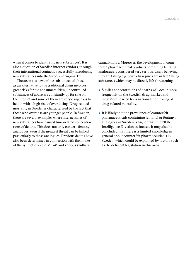when it comes to identifying new substances). It is also a question of Swedish internet vendors, through their international contacts, successfully introducing new substances into the Swedish drug-market.

The access to new online substances of abuse as an alternative to the traditional drugs involves great risks for the consumers. New, uncontrolled substances of abuse are constantly up for sale on the internet and some of them are very dangerous to health with a high risk of overdosing. Drug-related mortality in Sweden is characterized by the fact that those who overdose are younger people. In Sweden, there are several examples where internet sales of new substances have caused time-related concentrations of deaths. This does not only concern fentanyl analogues, even if the greatest threat can be linked particularly to these analogues. Previous deaths have also been determined in connection with the intake of the synthetic opioid MT-45 and various synthetic

cannabinoids. Moreover, the development of counterfeit pharmaceutical products containing fentanyl analogues is considered very serious. Users believing they are taking e.g. benzodiazepines are in fact taking substances which may be directly life-threatening.

- Similar concentrations of deaths will occur more frequently on the Swedish drug-market and indicates the need for a national monitoring of drug-related mortality.
- $\bullet$  It is likely that the prevalence of counterfeit pharmaceuticals containing fentanyl or fentanyl analogues in Sweden is higher than the NOA Intelligence Division estimates. It may also be concluded that there is a limited knowledge in general about counterfeit pharmaceuticals in Sweden, which could be explained by factors such as the deficient legislation in this area.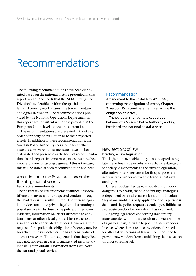# Recommendations

The following recommendations have been elaborated based on the national picture presented in this report, and on the needs that the NOA Intelligence Division has identified within the special antifentanyl priority work against the trade in fentanyl analogues in Sweden. The recommendations provided by the National Operations Department in this report are consistent with those provided at the European Union level to meet the current issue.

The recommendations are presented without any order of priority or evaluation as to their expected effects. In addition to these recommendations, the Swedish Police Authority sees a need for further measures. However, those measures have not been elaborated and presented in the form of recommendations in this report. In some cases, measures have been initiated/taken to varying degrees. If this is the case, this will be stated at each recommendation and need.

### Amendment to the Postal Act concerning the obligation of secrecy **Legislative amendments**

The possibility of law enforcement authorities identifying and investigating suspected vendors through the mail flow is currently limited. The current legislation does not allow private legal entities running a postal service to disclose to the police, at their own initiative, information on letters suspected to contain drugs or other illegal goods. This restriction also applies to aggravated offences. However, at the request of the police, the obligation of secrecy may be breached if the suspected crime has a penal value of at least two years. The consequence is that the police may not, not even in cases of aggravated involuntary manslaughter, obtain information from Post Nord, the national postal service.

#### Recommendation 1

Amendment to the Postal Act (2010:1045) concerning the obligation of secrecy Chapter 2, Section 15, second paragraph regarding the obligation of secrecy.

The purpose is to facilitate cooperation between the Swedish Police Authority and e.g. Post Nord, the national postal service.

### New sections of law **Drafting a new legislation**

The legislation available today is not adapted to regulate the online trade in substances that are dangerous to society. Amendments to the current legislation, alternatively new legislation for this purpose, are necessary to further restrict the trade in fentanyl analogues.

Unless not classified as narcotic drugs or goods dangerous to health, the sale of fentanyl analogues is dependent on an alternative legislation. Involuntary manslaughter is only applicable once a person is dead, and the police request extended possibilities to prosecute vendors before a death has occurred.

Ongoing legal cases concerning involuntary manslaughter will – if they result in convictions – be of significant signal value to potential new vendors. In cases where there are no convictions, the need for alternative sections of law will be intensified to prevent new vendors from establishing themselves on this lucrative market.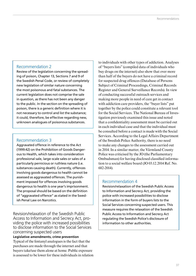### Recommendation 2

Review of the legislation concerning the spreading of poison, Chapter 13, Sections 7 and 9 of the Swedish Penal Code, or review of completely new legislation of similar nature concerning the most poisonous and fatal substances. The current legislation does not comprise the sale in question, as there has not been any danger to the public. In the section on the spreading of poison, there is a generic definition where it is not necessary to control and list the substance; it could, therefore, be effective regarding new, unknown analogues of poisonous substances.

### Recommendation 3

Aggravated offence in reference to the Act (1999:42) on the Prohibition of Goods Dangerous to Health, which takes into consideration professional sale, large-scale sales or sales of a particularly pernicious or ruthless nature (i.e. substances causing death). Currently, offences involving goods dangerous to health cannot be assessed as aggravated offences. The punishment imposed for offences involving goods dangerous to health is one year's imprisonment. The proposal should be based on the definition of "aggravated offence" as stated in the Swedish Penal Law on Narcotics.

Revision/relaxation of the Swedish Public Access to Information and Secrecy Act, providing the police with increased possibilities to disclose information to the Social Services concerning suspected users

**Legislative amendments, crime prevention** Typical of the fentanyl analogues is the fact that the purchases are made through the internet and that buyers take/use them alone at home. Public exposure is assessed to be lower for these individuals in relation

to individuals with other types of addiction. Analyses of "buyers lists" (compiled data of individuals who buy drugs on the internet) also show that over more than half of the buyers do not have a criminal record for suspected drug offences (Database of Persons Subject of Criminal Proceedings, Criminal Records Register and General Surveillance Records). In view of conducting successful outreach services and making more people in need of care get in contact with addiction care providers, the "buyer lists" put together by the police could constitute a relevant tool for the Social Services. The National Bureau of Investigation previously examined this issue and noted that a confidentiality assessment must be carried out in each individual case and that the individual must be consulted before a contact is made with the Social Services. According to the Legal Affairs Department of the Swedish Police Authority, there is no need to make any changes to the assessment carried out in 2014. In a similar matter, the Värmland County Police was criticised by the JO (the Parliamentary Ombudsman) for having disclosed classified information to a social welfare board (JO 03.12.2014 Ref. No. 682-2014).

### Recommendation 4

Revision/relaxation of the Swedish Public Access to Information and Secrecy Act, providing the police with increased possibilities to disclose information in the form of buyers lists to the Social Services concerning suspected users. This measure requires the relaxation of the Swedish Public Access to Information and Secrecy Act regulating the Swedish Police's disclosure of information to other authorities.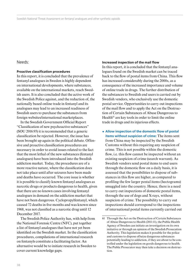#### Needs:

#### **Proactive classification procedures**

In this report, it is concluded that the prevalence of fentanyl analogues in Sweden is highly dependent on international developments, where substances, available on the international markets, reach Swedish users. It is also concluded that the active work of the Swedish Police against, and the reduction of, the nationally based online trade in fentanyl and its analogues may lead to an increased readiness of Swedish users to purchase the substances from foreign websites/international marketplaces.

In the Swedish Government Official Report "Classification of new psychoactive substances" (SOU 2016:93) it is recommended that a generic classification be rejected. However, the issue has been brought up again in the political debate. Offensive and proactive classification procedures are necessary in order to avoid issues related to the fact that the most lethal of the new substances (fentanyl analogues) have been introduced into the Swedish addiction market. Today, the procedures are of a more reactive nature, where the classification does not take place until after seizures have been made and deaths have occurred. The core issue is whether it is possible to classify known fentanyl analogues as narcotic drugs or products dangerous to health, given that there are no known cases involving fentanyl analogues in demand on the addiction market that have not been dangerous. Cyclopropylfentanyl, which caused 72 deaths in five months and was known since 1968, was not classified as a narcotic drug until 12 December 2017.

The Swedish Police Authority has, with help from the National Forensic Centre (NFC), put together a list of fentanyl analogues that have not yet been identified on the Swedish market. In the classification procedures, compilations of international research on fentanyls constitute a facilitating factor. An alternative would be to initiate research in Sweden to cover current knowledge gaps.

#### **Increased inspection of the mail flow**

In this report, it is concluded that the fentanyl analogues found on the Swedish market can be traced back to the flow of postal items from China. This flow has increased considerably during the 2000s, as a consequence of the increased importance and volume of online trade in drugs. The further distribution of the substances to Swedish end users is carried out by Swedish vendors, who exclusively use the domestic postal service. Opportunities to carry out inspections of the mail flow and to apply the Act on the Destruction of Certain Substances of Abuse Dangerous to Health $^{61}$  are key tools in order to limit the online trade in drugs and its injurious effects.

¿ **Allow inspection of the domestic flow of postal items without suspicion of crime:** The items sent from China may be inspected by the Swedish Customs without this requiring any suspicion of crime. This is not possible within the domestic flow, i.e. this flow cannot be inspected without an existing suspicion of crime (search warrant). As Swedish vendors send postal items to end users through the domestic flow on a daily basis, it is assessed that the possibilities to dispose of substances in this flow are higher, as compared to profiling the few larger postal items (hectograms) smuggled into the country. Hence, there is a need to carry out inspections of domestic postal items, through the use of dogs and X-rays, without suspicion of crime. The possibility to carry out inspections should correspond to the inspections of international postal items currently carried out

<sup>61</sup> Through the Act on the Destruction of Certain Substances of Abuse Dangerous to Health (2011:11), the Public Health Agency of Sweden can initiate an investigation on its own initiative or through an opinion of the Swedish Prosecution Authority. This legislation makes it possible for the police and customs to dispose of/seize dangerous substances potentially leading to addiction, if they are about to be controlled under the legislation on goods dangerous to health. The Public Prosecutor may then take a decision on destruction.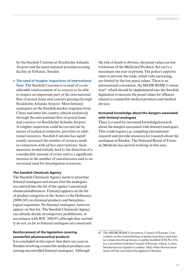by the Swedish Customs at Stockholm Arlanda Airport and the main national postalprocessing facility at Toftanäs, Sweden.

¿ **The need of tougher inspections of international flow:** The Swedish Customs is in need of a considerable reinforcement of re-sources to be able to inspect an important part of the international flow of postal items and couriers passing through Stockholm Arlanda Airport. Most fentanyl analogues on the Swedish market originate from China and enter the country almost exclusively through the international flow of postal items and couriers via Stockholm Arlanda Airport. A tougher inspection could be carried out by means of technical solutions, priorities or additional resources. Swedish Customs has significantly increased the number of seizures made in connection with ad hoc interventions. Such measures would initially lead to the detection of a considerable amount of crime and to a significant increase in the number of cases/seizures and to an increased need for investigation resources.

#### **The Swedish Chemicals Agency**

The Swedish Chemicals Agency needs to prioritise fentanyl analogues and ensure that the analogues are entered into the list of the agency's monitored chemicals/substances. Fentanyl appears on the list of product categories in the Annex to the Ordinance (2008:245) on chemical products and biotechnological organisms. No fentanyl analogues, however, appear on that list. The Swedish Chemicals Agency can already decide on temporary prohibitions, in accordance with SOU 2016:93, although they currently do not, as far as fentanyl analogues are concerned.

### **Reinforcement of the legislation covering counterfeit pharmaceutical products**

It is concluded in this report that there are cases in Sweden involving counterfeit medical products containing uncontrolled fentanyl analogues. Although

the risk of death is obvious, the penal values are low (violations of the Medicinal Products Act carry a maximum one year in prison). The police's opportunities to prevent the trade, which risks increasing, are limited by the low penal values. There is an international convention, the MEDICRIME Convention $62$ , which should be implemented into the Swedish legislation to increase the penal values for offences related to counterfeit medical products and medical devices.

### **Increased knowledge about the dangers associated with fentanyl analogues**

There is a need for increased knowledge/research about the dangers associated with fentanyl analogues. This could require e.g. compiling international research and provide resources for research about the analogues in Sweden. The National Board of Forensic Medicine has started working on this area.

<sup>62</sup> The MEDICRIME Convention, Council of Europe, Convention on the counterfeiting of medical products and similar crimes involving threats to public health (CETS No.211), is a convention from the Council of Europe, which, to date, Sweden has not signed or ratified. Only when this has been done will the convention be applied in Sweden.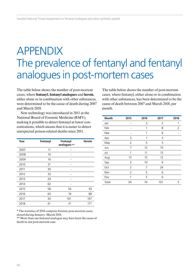# APPENDIX The prevalence of fentanyl and fentanyl analogues in post-mortem cases

The table below shows the number of post-mortem cases, where **fentanyl, fentanyl analogues** and **heroin**, either alone or in combination with other substances, were determined to be the cause of death during 2007 and March 2018.

New technology was introduced in 2011 at the National Board of Forensic Medicine (RMV), making it possible to detect fentanyl at lower concentrations, which means that it is easier to detect unexpected poison-related deaths since 2011.

| Year | Fentanyl | Fentanyl<br>analogues ** | <b>Heroin</b> |
|------|----------|--------------------------|---------------|
| 2007 | 11       |                          |               |
| 2008 | 10       |                          |               |
| 2009 | 16       |                          |               |
| 2010 | 21       |                          |               |
| 2011 | 30       |                          |               |
| 2012 | 33       |                          |               |
| 2013 | 29       |                          |               |
| 2014 | 62       |                          |               |
| 2015 | 58       | 34                       | 93            |
| 2016 | 63       | 74                       | 88            |
| 2017 | 30       | 101                      | 107           |
| 2018 | $6*$     | $3*$                     | $17*$         |

\* The statistics of 2018 comprise forensic post-mortem cases, closed during January–March 2018.

\*\* More than one fentanyl analogue may have been the cause of death in one post-mortem case.

The table below shows the number of post-mortem cases, where fentanyl, either alone or in combination with other substances, has been determined to be the cause of death between 2007 and March 2018, per month.

| <b>Month</b> | 2015           | 2016 | 2017 | 2018 |
|--------------|----------------|------|------|------|
| Jan          | -              | 3    | 2    | 1    |
| Feb          |                | 1    | 8    | 2    |
| Mar          |                | 1    | 6    |      |
| Apr          | 3              | 1    | 3    |      |
| May          | $\overline{2}$ | 5    | 5    |      |
| Jun          | 7              | 12   | 10   |      |
| Jul          | 1              | 11   | 13   |      |
| Aug          | 13             | 13   | 12   |      |
| Sep          | 3              | 10   | 6    |      |
| Oct          | 2              | 7    | 24   |      |
| Nov          | $\overline{2}$ | 5    | 6    |      |
| Dec          | 1              | 5    | 6    |      |
| Total        | 34             | 74   | 101  | 3    |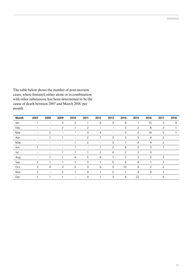The table below shows the number of post-mortem cases, where fentanyl, either alone or in combination with other substances, has been determined to be the cause of death between 2007 and March 2018, per month.

| Month | 2007                         | 2008                     | 2009                     | 2010            | 2011                     | 2012                         | 2013                     | 2014           | 2015           | 2016           | 2017           | 2018 |
|-------|------------------------------|--------------------------|--------------------------|-----------------|--------------------------|------------------------------|--------------------------|----------------|----------------|----------------|----------------|------|
| Jan   |                              | $\overline{\phantom{a}}$ | 3                        | 3               | 1                        | 6                            | 3                        | 8              | ٠              | 15             | 3              | 4    |
| Feb   | $\overline{\phantom{a}}$     | $\overline{\phantom{a}}$ | 2                        |                 | $\overline{2}$           | $\qquad \qquad \blacksquare$ | $\overline{\phantom{a}}$ | 3              | $\overline{2}$ | 8              | 3              |      |
| Mar   | $\overline{\phantom{a}}$     | $\overline{2}$           | $\overline{\phantom{a}}$ | 4               | 3                        | $\overline{4}$               | $\overline{\phantom{a}}$ | 5              | 2              | 14             | 5              |      |
| Apr   | $\qquad \qquad \blacksquare$ |                          |                          |                 | 2                        |                              | 3                        | 3              | 5              | 4              | 2              |      |
| May   | $\qquad \qquad$              | $\overline{a}$           | $\overline{\phantom{0}}$ |                 | 2                        | $\overline{\phantom{0}}$     | 3                        | 7              | 4              | 4              | 2              |      |
| Jun   |                              | $\overline{\phantom{0}}$ | $\overline{\phantom{0}}$ |                 | $\overline{\phantom{a}}$ | 7                            | $\overline{2}$           | 8              | 5              | 3              |                |      |
| Jul   | $\overline{\phantom{a}}$     | $\overline{\phantom{0}}$ |                          |                 | $\overline{\phantom{a}}$ | $\overline{2}$               | $\overline{4}$           | 2              | 3              | 3              |                |      |
| Aug   | $\overline{\phantom{a}}$     | и                        |                          | 4               | 5                        | $\overline{4}$               |                          | 5              | $\overline{2}$ | 5              | 3              |      |
| Sep   | 3                            | ×                        |                          |                 | 3                        | 1                            | 5                        | 6              | $\overline{4}$ | 1              | $\overline{2}$ |      |
| Oct   | 3                            | 4                        | 3                        | 2               | 3                        | 6                            | 3                        | 10             | $\overline{4}$ | 2              | $\overline{2}$ |      |
| Nov   | 2                            | $\overline{\phantom{a}}$ | 2                        |                 | $\overline{4}$           |                              | 2                        |                | $\overline{4}$ | 4              | 3              |      |
| Dec   |                              | ٠                        |                          | $\qquad \qquad$ | 4                        |                              | 3                        | $\overline{4}$ | 22             | $\overline{a}$ | 4              |      |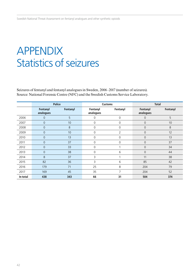# APPENDIX Statistics of seizures

Seizures of fentanyl and fentanyl analogues in Sweden, 2006–2017 (number of seizures). Source: National Forensic Centre (NFC) and the Swedish Customs Service Laboratory.

|          | <b>Police</b>         |          |                       | <b>Customs</b> | <b>Total</b>          |          |
|----------|-----------------------|----------|-----------------------|----------------|-----------------------|----------|
|          | Fentanyl<br>analogues | Fentanyl | Fentanyl<br>analogues | Fentanyl       | Fentanyl<br>analogues | Fentanyl |
| 2006     | 0                     | 5        | 0                     | 0              | $\mathbf 0$           | 5        |
| 2007     | $\mathsf{O}\xspace$   | 10       | 0                     | $\mathbf 0$    | $\overline{0}$        | 10       |
| 2008     | $\overline{0}$        | 8        | $\Omega$              | 0              | $\mathbf 0$           | 8        |
| 2009     | $\overline{0}$        | 10       | 0                     | $\overline{2}$ | $\mathbf 0$           | 12       |
| 2010     | $\overline{0}$        | 13       | 0                     | 0              | $\mathbf 0$           | 13       |
| 2011     | 0                     | 37       | 0                     | 0              | $\mathbf 0$           | 37       |
| 2012     | $\overline{0}$        | 33       | 0                     |                | $\mathbf{0}$          | 34       |
| 2013     | $\mathbf 0$           | 38       | 0                     | 6              | $\mathbf 0$           | 44       |
| 2014     | 8                     | 37       | 3                     |                | 11                    | 38       |
| 2015     | 82                    | 36       | 3                     | 6              | 85                    | 42       |
| 2016     | 179                   | 71       | 25                    | 8              | 204                   | 79       |
| 2017     | 169                   | 45       | 35                    | 7              | 204                   | 52       |
| In total | 438                   | 343      | 66                    | 31             | 504                   | 374      |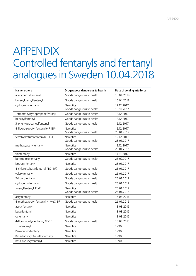# APPENDIX Controlled fentanyls and fentanyl analogues in Sweden 10.04.2018

| Name, others                       | Drugs/goods dangerous to health        | Date of coming into force |
|------------------------------------|----------------------------------------|---------------------------|
| acetylbenzylfentanyl               | Goods dangerous to health              | 10.04.2018                |
| bensoylbenzylfentanyl              | Goods dangerous to health              | 10.04.2018                |
| cyclopropylfentanyl                | <b>Narcotics</b>                       | 12.12.2017                |
|                                    | Goods dangerous to health              | 18.10.2017                |
| Tetramethylcyclopropanefentanyl    | Goods dangerous to health              | 12.12.2017                |
| benzoylfentanyl                    | Goods dangerous to health              | 12.12.2017                |
| 3-phenylpropanoylfentanyl          | Goods dangerous to health              | 12.12.2017                |
| 4-fluoroisobutyrfentanyl (4F-iBF)  | Narcotics                              | 12.12.2017                |
|                                    | Goods dangerous to health              | 25.01.2017                |
| tetrahydrofuranfentanyl (THF-F)    | Narcotics                              | 12.12.2017                |
|                                    | Goods dangerous to health              | 25.01.2017                |
| methoxyacetylfentanyl              | Narcotics<br>Goods dangerous to health | 12.12.2017<br>25.01.2017  |
|                                    |                                        |                           |
| thiofentanyl                       | <b>Narcotics</b>                       | 14.11.2017                |
| bensodioxolfentanyl                | Goods dangerous to health              | 28.07.2017                |
| isobutyrfentanyl                   | <b>Narcotics</b>                       | 25.01.2017                |
| 4-chloroisobutyrfentanyl (4Cl-iBF) | Goods dangerous to health              | 25.01.2017                |
| valerylfentanyl                    | Goods dangerous to health              | 25.01.2017                |
| 2-fluorofentanyl                   | Goods dangerous to health              | 25.01.2017                |
| cyclopentylfentanyl                | Goods dangerous to health              | 25.01.2017                |
| furanylfentanyl, Fu-F              | <b>Narcotics</b>                       | 25.01.2017                |
|                                    | Goods dangerous to health              | 26.01.2016                |
| acrylfentanyl                      | Narcotics                              | 16.08.2016                |
| 4-methoxybutyrfentanyl, 4-MeO-BF   | Goods dangerous to health              | 26.01.2016                |
| acetylfentanyl                     | Narcotics                              | 18.08.2015                |
| butyrfentanyl                      | Narcotics                              | 18.08.2015                |
| ocfentanyl                         | Narcotics                              | 18.08.2015                |
| 4-fluoro-butyrfentanyl, 4F-BF      | Goods dangerous to health              | 18.08.2015                |
| Thiofentanyl                       | Narcotics                              | 1990                      |
| Para-fluoro-fentanyl               | Narcotics                              | 1990                      |
| Beta-hydroxy 3-methylfentanyl      | Narcotics                              | 1990                      |
| Beta-hydroxyfentanyl               | Narcotics                              | 1990                      |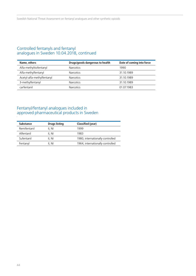### Controlled fentanyls and fentanyl analogues in Sweden 10.04.2018, continued

| Name, others               | Drugs/goods dangerous to health | Date of coming into force |
|----------------------------|---------------------------------|---------------------------|
| Alfa-methyltiofentanyl     | <b>Narcotics</b>                | 1990                      |
| Alfa-methylfentanyl        | <b>Narcotics</b>                | 31.10.1989                |
| Acetyl-alfa-methylfentanyl | <b>Narcotics</b>                | 31.10.1989                |
| 3-methylfentanyl           | <b>Narcotics</b>                | 31.10.1989                |
| carfentanil                | <b>Narcotics</b>                | 01 07 1983                |

### Fentanyl/fentanyl analogues included in approved pharmaceutical products in Sweden

| <b>Substance</b> | <b>Drugs listing</b> | Classified (year)                |
|------------------|----------------------|----------------------------------|
| Remifentanil     | II. NI               | 1999                             |
| Alfentanil       | II. NI               | 1983                             |
| Sufentanil       | II. NI               | 1980, internationally controlled |
| Fentanyl         | II. NI               | 1964, internationally controlled |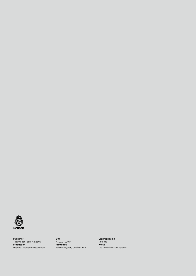

**Publisher** The Swedish Police Authority **Production** National Operations Department

**Dnr.** A503.217/2017 **Printed by** Polisens Tryckeri, October 2018

**Graphic Design** Sinfo Yra **Photo** The Swedish Police Authority